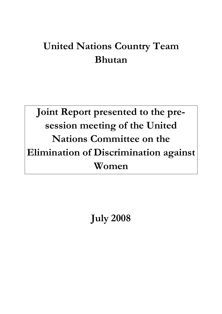# **United Nations Country Team Bhutan**

# **Joint Report presented to the presession meeting of the United Nations Committee on the Elimination of Discrimination against Women**

**July 2008**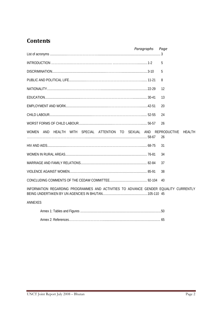# **Contents**

|                                                                                      | Paragraphs | Page          |
|--------------------------------------------------------------------------------------|------------|---------------|
|                                                                                      |            |               |
|                                                                                      |            | 5             |
|                                                                                      |            | 5             |
|                                                                                      |            | 8             |
|                                                                                      |            | 12            |
|                                                                                      |            | 13            |
|                                                                                      |            | 20            |
|                                                                                      |            | 24            |
|                                                                                      |            | 26            |
| WOMEN AND HEALTH WITH SPECIAL ATTENTION TO SEXUAL AND REPRODUCTIVE                   |            | HFAI TH<br>26 |
|                                                                                      |            | 31            |
|                                                                                      |            | 34            |
|                                                                                      |            | 37            |
|                                                                                      |            | 38            |
|                                                                                      |            | 40            |
| INFORMATION REGARDING PROGRAMMES AND ACTIVITIES TO ADVANCE GENDER EQUALITY CURRENTLY |            |               |
| <b>ANNEXES</b>                                                                       |            |               |
|                                                                                      |            |               |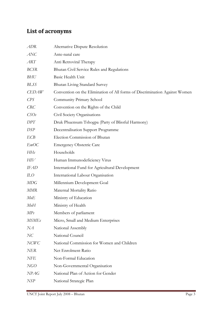# **List of acronyms**

| <i>ADR</i>       | Alternative Dispute Resolution                                             |
|------------------|----------------------------------------------------------------------------|
| ANC              | Ante-natal care                                                            |
| ART              | Anti Retroviral Therapy                                                    |
| <b>BCSR</b>      | Bhutan Civil Service Rules and Regulations                                 |
| BHU              | Basic Health Unit                                                          |
| <b>BLSS</b>      | Bhutan Living Standard Survey                                              |
| <b>CEDAW</b>     | Convention on the Elimination of All forms of Discrimination Against Women |
| CPS              | Community Primary School                                                   |
| $C\!R\!C$        | Convention on the Rights of the Child                                      |
| CSO <sub>s</sub> | Civil Society Organisations                                                |
| <b>DPT</b>       | Druk Phuensum Tshogpa (Party of Blissful Harmony)                          |
| DSP              | Decentralisation Support Programme                                         |
| ECB              | Election Commission of Bhutan                                              |
| EmOC             | <b>Emergency Obstetric Care</b>                                            |
| HHs              | Households                                                                 |
| $H\!I\!V$        | Human Immunodeficiency Virus                                               |
| <b>IFAD</b>      | International Fund for Agricultural Development                            |
| ILO              | International Labour Organisation                                          |
| MDG              | Millennium Development Goal                                                |
| MMR              | Maternal Mortality Ratio                                                   |
| MoE              | Ministry of Education                                                      |
| MoH              | Ministry of Health                                                         |
| MPs              | Members of parliament                                                      |
| <b>MSMEs</b>     | Micro, Small and Medium Enterprises                                        |
| NA               | National Assembly                                                          |
| NC               | National Council                                                           |
| NCWC             | National Commission for Women and Children                                 |
| <b>NER</b>       | Net Enrolment Ratio                                                        |
| NFE              | Non-Formal Education                                                       |
| NGO              | Non-Governmental Organisation                                              |
| <b>NPAG</b>      | National Plan of Action for Gender                                         |
| NSP              | National Strategic Plan                                                    |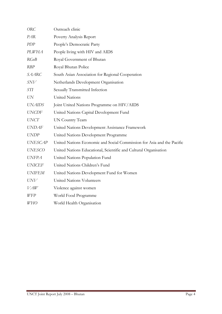| ORC            | Outreach clinic                                                        |
|----------------|------------------------------------------------------------------------|
| <b>PAR</b>     | Poverty Analysis Report                                                |
| <b>PDP</b>     | People's Democratic Party                                              |
| <b>PLWHA</b>   | People living with HIV and AIDS                                        |
| RGoB           | Royal Government of Bhutan                                             |
| <b>RBP</b>     | Royal Bhutan Police                                                    |
| <b>SAARC</b>   | South Asian Association for Regional Cooperation                       |
| $S\!N\!V$      | Netherlands Development Organisation                                   |
| <b>STI</b>     | Sexually Transmitted Infection                                         |
| UN             | United Nations                                                         |
| <b>UNAIDS</b>  | Joint United Nations Programme on HIV/AIDS                             |
| <b>UNCDF</b>   | United Nations Capital Development Fund                                |
| <b>UNCT</b>    | UN Country Team                                                        |
| <b>UNDAF</b>   | United Nations Development Assistance Framework                        |
| <b>UNDP</b>    | United Nations Development Programme                                   |
| <b>UNESCAP</b> | United Nations Economic and Social Commission for Asia and the Pacific |
| <b>UNESCO</b>  | United Nations Educational, Scientific and Cultural Organisation       |
| <b>UNFPA</b>   | United Nations Population Fund                                         |
| <b>UNICEF</b>  | United Nations Children's Fund                                         |
| <b>UNIFEM</b>  | United Nations Development Fund for Women                              |
| UNV            | United Nations Volunteers                                              |
| VAW            | Violence against women                                                 |
| WFP            | World Food Programme                                                   |
| WHO            | World Health Organisation                                              |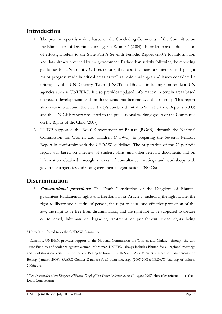## **Introduction**

- 1. The present report is mainly based on the Concluding Comments of the Committee on the Elimination of Discrimination against Women<sup>[1](#page-4-0)</sup> (2004). In order to avoid duplication of efforts, it refers to the State Party's Seventh Periodic Report (2007) for information and data already provided by the government. Rather than strictly following the reporting guidelines for UN Country Offices reports, this report is therefore intended to highlight major progress made in critical areas as well as main challenges and issues considered a priority by the UN Country Team (UNCT) in Bhutan, including non-resident UN agencies such as UNIFEM<sup>[2](#page-4-1)</sup>. It also provides updated information in certain areas based on recent developments and on documents that became available recently. This report also takes into account the State Party's combined Initial to Sixth Periodic Reports (2003) and the UNICEF report presented to the pre-sessional working group of the Committee on the Rights of the Child (2007).
- 2. UNDP supported the Royal Government of Bhutan (RGoB), through the National Commission for Women and Children (NCWC), in preparing the Seventh Periodic Report in conformity with the CEDAW guidelines. The preparation of the  $7<sup>th</sup>$  periodic report was based on a review of studies, plans, and other relevant documents and on information obtained through a series of consultative meetings and workshops with government agencies and non-governmental organisations (NGOs).

## **Discrimination**

3. **Constitutional provisions:** The Draft Constitution of the Kingdom of Bhutan[3](#page-4-2) guarantees fundamental rights and freedoms in its Article 7, including the right to life, the right to liberty and security of person, the right to equal and effective protection of the law, the right to be free from discrimination, and the right not to be subjected to torture or to cruel, inhuman or degrading treatment or punishment; these rights being

<span id="page-4-0"></span> <sup>1</sup> Hereafter referred to as the CEDAW Committee.

<span id="page-4-1"></span><sup>2</sup> Currently, UNIFEM provides support to the National Commission for Women and Children through the UN Trust Fund to end violence against women. Moreover, UNIFEM always includes Bhutan for all regional meetings and workshops convened by the agency: Beijing follow-up (Sixth South Asia Ministerial meeting Commemorating Beijing -January 2008); SAARC Gender Database focal point meetings (2007-2008); CEDAW (training of trainers 2006); etc.

<span id="page-4-2"></span> $3$  *The Constitution of the Kingdom of Bhutan. Draft of Tsa Thrim Chhenmo as on*  $1<sup>4</sup>$  *August 2007*. Hereafter referred to as the Draft Constitution.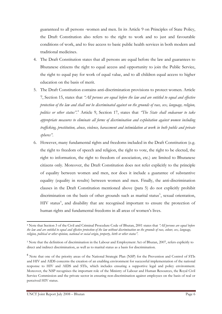guaranteed to all persons -women and men. In its Article 9 on Principles of State Policy, the Draft Constitution also refers to the right to work and to just and favourable conditions of work, and to free access to basic public health services in both modern and traditional medicines.

- 4. The Draft Constitution states that all persons are equal before the law and guarantees to Bhutanese citizens the right to equal access and opportunity to join the Public Service, the right to equal pay for work of equal value, and to all children equal access to higher education on the basis of merit.
- 5. The Draft Constitution contains anti-discrimination provisions to protect women. Article 7, Section 15, states that *"All persons are equal before the law and are entitled to equal and effective protection of the law and shall not be discriminated against on the grounds of race, sex, language, religion, politics or other status"*. [4](#page-5-0) Article 9, Section 17, states that *"The State shall endeavour to take appropriate measures to eliminate all forms of discrimination and exploitation against women including trafficking, prostitution, abuse, violence, harassment and intimidation at work in both public and private spheres"*.
- 6. However, many fundamental rights and freedoms included in the Draft Constitution (e.g. the right to freedom of speech and religion, the right to vote, the right to be elected, the right to information, the right to freedom of association, etc.) are limited to Bhutanese citizens only. Moreover, the Draft Constitution does not refer explicitly to the principle of equality between women and men, nor does it include a guarantee of substantive equality (equality in results) between women and men. Finally, the anti-discrimination clauses in the Draft Constitution mentioned above (para 5) do not explicitly prohibit discrimination on the basis of other grounds such as marital status<sup>[5](#page-5-1)</sup>, sexual orientation, HIV status<sup>[6](#page-5-2)</sup>, and disability that are recognised important to ensure the protection of human rights and fundamental freedoms in all areas of women's lives.

<span id="page-5-0"></span><sup>4</sup> Note that Section 3 of the Civil and Criminal Procedure Code of Bhutan, 2001 states that *"All persons are equal before the law and are entitled to equal and effective protection of the law without discrimination on the grounds of race, colour, sex, language, religion, political or other opinion, national or social origin, property, birth or other status"*.

<span id="page-5-1"></span><sup>5</sup> Note that the definition of discrimination in the Labour and Employment Act of Bhutan, 2007, refers explicitly to direct and indirect discrimination, as well as to marital status as a basis for discrimination.

<span id="page-5-2"></span><sup>6</sup> Note that one of the priority areas of the National Strategic Plan (NSP) for the Prevention and Control of STIs and HIV and AIDS concerns the creation of an enabling environment for successful implementation of the national response to HIV and AIDS and STIs, which includes ensuring a supportive legal and policy environment. Moreover, the NSP recognises the important role of the Ministry of Labour and Human Resources, the Royal Civil Service Commission and the private sector in ensuring non-discrimination against employees on the basis of real or perceived HIV status.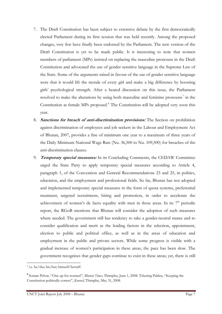- 7. The Draft Constitution has been subject to extensive debate by the first democratically elected Parliament during its first session that was held recently. Among the proposed changes, very few have finally been endorsed by the Parliament. The new version of the Draft Constitution is yet to be made public. It is interesting to note that women members of parliament (MPs) insisted on replacing the masculine pronouns in the Draft Constitution and advocated the use of gender sensitive language in the Supreme Law of the State. Some of the arguments raised in favour of the use of gender sensitive language were that it would lift the morale of every girl and make a big difference by boosting girls' psychological strength. After a heated discussion on this issue, the Parliament resolved to make the alterations by using both masculine and feminine pronouns<sup>[7](#page-6-0)</sup> in the Constitution as female MPs proposed.<sup>[8](#page-6-1)</sup> The Constitution will be adopted very soon this year.
- 8. **Sanctions for breach of anti-discrimination provisions:** The Section on prohibition against discrimination of employees and job seekers in the Labour and Employment Act of Bhutan, 2007, provides a fine of minimum one year to a maximum of three years of the Daily Minimum National Wage Rate (Nu. 36,500 to Nu. 109,500) for breaches of the anti-discrimination clauses.
- 9. **Temporary special measures:** In its Concluding Comments, the CEDAW Committee urged the State Party to apply temporary special measures according to Article 4, paragraph 1, of the Convention and General Recommendations 23 and 25, in politics, education, and the employment and professional fields. So far, Bhutan has not adopted and implemented temporary special measures in the form of quota systems, preferential treatment, targeted recruitment, hiring and promotion, in order to accelerate the achievement of women's de facto equality with men in these areas. In its  $7<sup>th</sup>$  periodic report, the RGoB mentions that Bhutan will consider the adoption of such measures where needed. The government still has tendency to take a gender-neutral stance and to consider qualification and merit as the leading factors in the selection, appointment, election to public and political office, as well as in the areas of education and employment in the public and private sectors. While some progress is visible with a gradual increase of women's participation in these areas, the pace has been slow. The government recognises that gender gaps continue to exist in these areas; yet, there is still

<span id="page-6-0"></span> 7 i.e. he/she; his/her; himself/herself.

<span id="page-6-1"></span><sup>8</sup> Sonam Pelvar, "One up for women!", *Bhutan Times*, Thimphu, June 1, 2008. Tshering Palden, "Keeping the Constitution politically correct", *Kuensel*, Thimphu, May 31, 2008.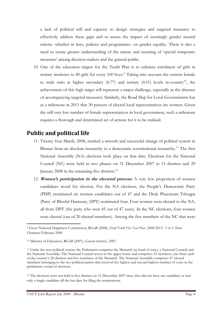a lack of political will and capacity to design strategies and targeted measures to effectively address these gaps and to assess the impact of seemingly gender neutral criteria -whether in laws, policies and programmes- on gender equality. There is also a need to create greater understanding of the nature and meaning of 'special temporary measures' among decision-makers and the general public.

10. One of the education targets for the Tenth Plan is to enhance enrolment of girls in tertiary institutes to 80 girls for every 100 boys.<sup>[9](#page-7-0)</sup> Taking into account the current female to male ratio at higher secondary  $(0.77)$  and tertiary  $(0.51)$  levels in-country<sup>10</sup>, the achievement of this high target will represent a major challenge, especially in the absence of accompanying targeted measures. Similarly, the Road Map for Local Governments has as a milestone in 2013 that 30 percent of elected local representatives are women. Given the still very low number of female representatives in local government, such a milestone requires a thorough and determined set of actions for it to be realised.

## **Public and political life**

- 11. Twenty four March, 2008, marked a smooth and successful change of political system in Bhutan from an absolute monarchy to a democratic constitutional monarchy.<sup>[11](#page-7-2)</sup> The first National Assembly (NA) elections took place on that date. Elections for the National Council (NC) were held in two phases on 31 December 2007 in 15 districts and 29 January 2008 in the remaining five districts.<sup>[12](#page-7-3)</sup>
- 12. **Women's participation in the electoral process:** A very low proportion of women candidates stood for election. For the NA elections, the People's Democratic Party (PDP) nominated six women candidates out of 47 and the Druk Phuensum Tshogpa (Party of Blissful Harmony, DPT) nominated four. Four women were elected to the NA, all from DPT (the party who won 45 out of 47 seats). In the NC elections, four women were elected (out of 20 elected members). Among the five members of the NC that were

<span id="page-7-0"></span><sup>9</sup> Gross National Happiness Commission, RGoB (2008), *Draft Tenth Five Year Plan [2008-2013]. Vol. I: Main Document*, February 2008.

<span id="page-7-1"></span><sup>10</sup> Ministry of Education, RGoB (2007), *General Statistics, 2007*.

<span id="page-7-2"></span><sup>11</sup> Under the new political system, the Parliament comprises the Monarch (as head of state), a National Council, and the National Assembly. The National Council serves as the upper house and comprises 25 members, one from each of the country's 20 districts and five nominees of the Monarch. The National Assembly comprises 47 elected members belonging to the two political parties that received the highest and second highest number of votes in the preliminary round of elections.

<span id="page-7-3"></span><sup>&</sup>lt;sup>12</sup> The elections were not held in five districts on 31 December 2007 since they did not have any candidate or had only a single candidate till the last date for filing the nominations.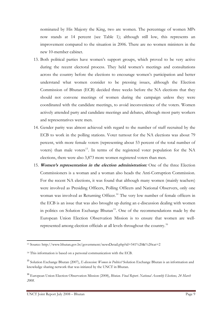nominated by His Majesty the King, two are women. The percentage of women MPs now stands at 14 percent (see [Table 1\)](#page-49-0); although still low, this represents an improvement compared to the situation in 2006. There are no women ministers in the new 10-member cabinet.

- 13. Both political parties have women's support groups, which proved to be very active during the recent electoral process. They held women's meetings and consultations across the country before the elections to encourage women's participation and better understand what women consider to be pressing issues, although the Election Commission of Bhutan (ECB) decided three weeks before the NA elections that they should not convene meetings of women during the campaign unless they were coordinated with the candidate meetings, to avoid inconvenience of the voters. Women actively attended party and candidate meetings and debates, although most party workers and representatives were men.
- 14. Gender parity was almost achieved with regard to the number of staff recruited by the ECB to work in the polling stations. Voter turnout for the NA elections was about 79 percent, with more female voters (representing about 53 percent of the total number of voters) than male voters $13$ . In terms of the registered voter population for the NA elections, there were also 3,873 more women registered voters than men.
- 15. **Women's representation in the election administration:** One of the three Election Commissioners is a woman and a woman also heads the Anti-Corruption Commission. For the recent NA elections, it was found that although many women (mainly teachers) were involved as Presiding Officers, Polling Officers and National Observers, only one woman was involved as Returning Officer.<sup>[14](#page-8-1)</sup> The very low number of female officers in the ECB is an issue that was also brought up during an e-discussion dealing with women in politics on Solution Exchange Bhutan<sup>[15](#page-8-2)</sup>. One of the recommendations made by the European Union Election Observation Mission is to ensure that women are wellrepresented among election officials at all levels throughout the country.[16](#page-8-3)

<span id="page-8-0"></span><sup>13</sup> Source: http://www.bhutan.gov.bt/government/newsDetail.php?id=541%20&%20cat=2

<span id="page-8-1"></span><sup>14</sup> This information is based on a personal communication with the ECB.

<span id="page-8-2"></span><sup>15</sup> Solution Exchange Bhutan (2007), *E-discussion: Women in Politics?* Solution Exchange Bhutan is an information and knowledge sharing network that was initiated by the UNCT in Bhutan.

<span id="page-8-3"></span><sup>16</sup> European Union Election Observation Mission (2008), *Bhutan. Final Report. National Assembly Elections, 24 March 2008*.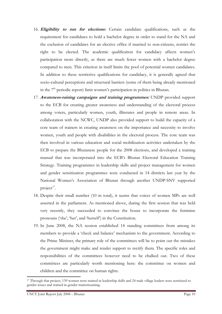- 16. **Eligibility to run for elections:** Certain candidate qualifications, such as the requirement for candidates to hold a bachelor degree in order to stand for the NA and the exclusion of candidates for an elective office if married to non-citizens, restrict the right to be elected. The academic qualification for candidacy affects women's participation more directly, as there are much fewer women with a bachelor degree compared to men. This criterion in itself limits the pool of potential women candidates. In addition to these restrictive qualifications for candidacy, it is generally agreed that socio-cultural perceptions and structural barriers (some of them being already mentioned in the  $7<sup>th</sup>$  periodic report) limit women's participation in politics in Bhutan.
- 17. **Awareness-raising campaigns and training programmes:** UNDP provided support to the ECB for creating greater awareness and understanding of the electoral process among voters, particularly women, youth, illiterates and people in remote areas. In collaboration with the NCWC, UNDP also provided support to build the capacity of a core team of trainers in creating awareness on the importance and necessity to involve women, youth and people with disabilities in the electoral process. The core team was then involved in various education and social mobilization activities undertaken by the ECB to prepare the Bhutanese people for the 2008 elections, and developed a training manual that was incorporated into the ECB's Bhutan Electoral Education Training Strategy. Training programmes in leadership skills and project management for women and gender sensitization programmes were conducted in 14 districts last year by the National Women's Association of Bhutan through another UNDP-SNV supported project $17$ .
- 18. Despite their small number (10 in total), it seems that voices of women MPs are well asserted in the parliament. As mentioned above, during the first session that was held very recently, they succeeded to convince the house to incorporate the feminine pronouns ('she', 'her', and 'herself') in the Constitution.
- 19. In June 2008, the NA session established 14 standing committees from among its members to provide a 'check and balance' mechanism to the government. According to the Prime Minister, the primary role of the committees will be to point out the mistakes the government might make and render support to rectify them. The specific roles and responsibilities of the committees however need to be chalked out. Two of these committees are particularly worth mentioning here: the committee on women and children and the committee on human rights.

<span id="page-9-0"></span> 17 Through that project, 139 women were trained in leadership skills and 24 male village leaders were sensitized to gender issues and trained in gender mainstreaming.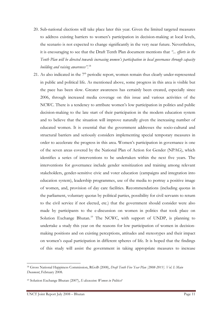- 20. Sub-national elections will take place later this year. Given the limited targeted measures to address existing barriers to women's participation in decision-making at local levels, the scenario is not expected to change significantly in the very near future. Nevertheless, it is encouraging to see that the Draft Tenth Plan document mentions that *"... efforts in the Tenth Plan will be directed towards increasing women's participation in local governance through capacity building and raising awareness"*. [18](#page-10-0)
- 21. As also indicated in the  $7<sup>th</sup>$  periodic report, women remain thus clearly under-represented in public and political life. As mentioned above, some progress in this area is visible but the pace has been slow. Greater awareness has certainly been created, especially since 2006, through increased media coverage on this issue and various activities of the NCWC. There is a tendency to attribute women's low participation in politics and public decision-making to the late start of their participation in the modern education system and to believe that the situation will improve naturally given the increasing number of educated women. It is essential that the government addresses the socio-cultural and structural barriers and seriously considers implementing special temporary measures in order to accelerate the progress in this area. Women's participation in governance is one of the seven areas covered by the National Plan of Action for Gender (NPAG), which identifies a series of interventions to be undertaken within the next five years. The interventions for governance include gender sensitization and training among relevant stakeholders, gender-sensitive civic and voter education (campaigns and integration into education system), leadership programmes, use of the media to portray a positive image of women, and, provision of day care facilities. Recommendations (including quotas in the parliament, voluntary quotas by political parties, possibility for civil servants to return to the civil service if not elected, etc.) that the government should consider were also made by participants to the e-discussion on women in politics that took place on Solution Exchange Bhutan.<sup>[19](#page-10-1)</sup> The NCWC, with support of UNDP, is planning to undertake a study this year on the reasons for low participation of women in decisionmaking positions and on existing perceptions, attitudes and stereotypes and their impact on women's equal participation in different spheres of life. It is hoped that the findings of this study will assist the government in taking appropriate measures to increase

<span id="page-10-0"></span><sup>18</sup> Gross National Happiness Commission, RGoB (2008), *Draft Tenth Five Year Plan [2008-2013]. Vol. I: Main Document*, February 2008.

<span id="page-10-1"></span><sup>19</sup> Solution Exchange Bhutan (2007), *E-discussion: Women in Politics?*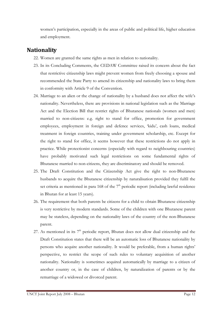women's participation, especially in the areas of public and political life, higher education and employment.

## **Nationality**

- 22. Women are granted the same rights as men in relation to nationality.
- 23. In its Concluding Comments, the CEDAW Committee raised its concern about the fact that restrictive citizenship laws might prevent women from freely choosing a spouse and recommended the State Party to amend its citizenship and nationality laws to bring them in conformity with Article 9 of the Convention.
- 24. Marriage to an alien or the change of nationality by a husband does not affect the wife's nationality. Nevertheless, there are provisions in national legislation such as the Marriage Act and the Election Bill that restrict rights of Bhutanese nationals (women and men) married to non-citizens: e.g. right to stand for office, promotion for government employees, employment in foreign and defence services, 'kidu', cash loans, medical treatment in foreign countries, training under government scholarship, etc. Except for the right to stand for office, it seems however that these restrictions do not apply in practice. While protectionist concerns (especially with regard to neighbouring countries) have probably motivated such legal restrictions on some fundamental rights of Bhutanese married to non-citizens, they are discriminatory and should be removed.
- 25. The Draft Constitution and the Citizenship Act give the right to non-Bhutanese husbands to acquire the Bhutanese citizenship by naturalisation provided they fulfil the set criteria as mentioned in para 168 of the  $7<sup>th</sup>$  periodic report (including lawful residence in Bhutan for at least 15 years).
- 26. The requirement that both parents be citizens for a child to obtain Bhutanese citizenship is very restrictive by modern standards. Some of the children with one Bhutanese parent may be stateless, depending on the nationality laws of the country of the non-Bhutanese parent.
- 27. As mentioned in its  $7<sup>th</sup>$  periodic report, Bhutan does not allow dual citizenship and the Draft Constitution states that there will be an automatic loss of Bhutanese nationality by persons who acquire another nationality. It would be preferable, from a human rights' perspective, to restrict the scope of such rules to voluntary acquisition of another nationality. Nationality is sometimes acquired automatically by marriage to a citizen of another country or, in the case of children, by naturalization of parents or by the remarriage of a widowed or divorced parent.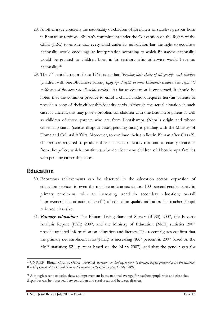- 28. Another issue concerns the nationality of children of foreigners or stateless persons born in Bhutanese territory. Bhutan's commitment under the Convention on the Rights of the Child (CRC) to ensure that every child under its jurisdiction has the right to acquire a nationality would encourage an interpretation according to which Bhutanese nationality would be granted to children born in its territory who otherwise would have no nationality.[20](#page-12-0)
- 29. The 7th periodic report (para 176) states that *"Pending their choice of citizenship, such children* [children with one Bhutanese parent] *enjoy equal rights as other Bhutanese children with regard to residence and free access to all social services"*. As far as education is concerned, it should be noted that the common practice to enrol a child in school requires her/his parents to provide a copy of their citizenship identity cards. Although the actual situation in such cases is unclear, this may pose a problem for children with one Bhutanese parent as well as children of those parents who are from Lhotshampa (Nepali) origin and whose citizenship status (census dropout cases, pending cases) is pending with the Ministry of Home and Cultural Affairs. Moreover, to continue their studies in Bhutan after Class X, children are required to produce their citizenship identity card and a security clearance from the police, which constitutes a barrier for many children of Lhotshampa families with pending citizenship cases.

## **Education**

- 30. Enormous achievements can be observed in the education sector: expansion of education services to even the most remote areas; almost 100 percent gender parity in primary enrolment, with an increasing trend in secondary education; overall improvement (i.e. at national level<sup>[21](#page-12-1)</sup>) of education quality indicators like teachers/pupil ratio and class size.
- 31. **Primary education:** The Bhutan Living Standard Survey (BLSS) 2007, the Poverty Analysis Report (PAR) 2007, and the Ministry of Education (MoE) statistics 2007 provide updated information on education and literacy. The recent figures confirm that the primary net enrolment ratio (NER) is increasing (83.7 percent in 2007 based on the MoE statistics; 82.1 percent based on the BLSS 2007), and that the gender gap for

<span id="page-12-0"></span><sup>20</sup> UNICEF - Bhutan Country Office, *UNICEF comments on child rights issues in Bhutan. Report presented to the Pre-sessional Working Group of the United Nations Committee on the Child Rights. October 2007.*

<span id="page-12-1"></span><sup>&</sup>lt;sup>21</sup> Although recent statistics show an improvement in the national average for teachers/pupil ratio and class size, disparities can be observed between urban and rural areas and between districts.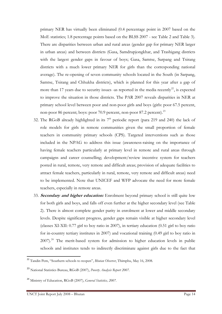primary NER has virtually been eliminated (0.4 percentage point in 2007 based on the MoE statistics; 1.8 percentage points based on the BLSS 2007 - see [Table 2](#page-49-1) and [Table 3](#page-49-2)). There are disparities between urban and rural areas (gender gap for primary NER larger in urban areas) and between districts (Gasa, Samdrupjongkhar, and Trashigang districts with the largest gender gaps in favour of boys; Gasa, Samtse, Sarpang and Tsirang districts with a much lower primary NER for girls than the corresponding national average). The re-opening of seven community schools located in the South (in Sarpang, Samtse, Tsirang and Chhukha districts), which is planned for this year after a gap of more than 17 years due to security issues -as reported in the media recently<sup>[22](#page-13-0)</sup>, is expected to improve the situation in those districts. The PAR 2007 reveals disparities in NER at primary school level between poor and non-poor girls and boys (girls: poor 67.5 percent, non-poor 86 percent; boys: poor 70.9 percent, non-poor 87.2 percent).<sup>[23](#page-13-1)</sup>

- 32. The RGoB already highlighted in its  $7<sup>th</sup>$  periodic report (para 219 and 240) the lack of role models for girls in remote communities given the small proportion of female teachers in community primary schools (CPS). Targeted interventions such as those included in the NPAG to address this issue (awareness-raising on the importance of having female teachers particularly at primary level in remote and rural areas through campaigns and career counselling; development/review incentive system for teachers posted in rural, remote, very remote and difficult areas; provision of adequate facilities to attract female teachers, particularly in rural, remote, very remote and difficult areas) need to be implemented. Note that UNICEF and WFP advocate the need for more female teachers, especially in remote areas.
- 33. **Secondary and higher education:** Enrolment beyond primary school is still quite low for both girls and boys, and falls off even further at the higher secondary level (see [Table](#page-49-1)  [2\)](#page-49-1). There is almost complete gender parity in enrolment at lower and middle secondary levels. Despite significant progress, gender gaps remain visible at higher secondary level (classes XI-XII: 0.77 girl to boy ratio in 2007), in tertiary education (0.51 girl to boy ratio for in-country tertiary institutes in 2007) and vocational training (0.49 girl to boy ratio in  $2007$ .<sup>[24](#page-13-2)</sup> The merit-based system for admission to higher education levels in public schools and institutes tends to indirectly discriminate against girls due to the fact that

<span id="page-13-0"></span><sup>22</sup> Tandin Pem, "Southern schools to reopen", *Bhutan Observer*, Thimphu, May 16, 2008.

<span id="page-13-1"></span><sup>23</sup> National Statistics Bureau, RGoB (2007), *Poverty Analysis Report 2007*.

<span id="page-13-2"></span><sup>24</sup> Ministry of Education, RGoB (2007), *General Statistics, 2007*.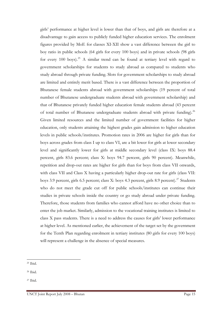girls' performance at higher level is lower than that of boys, and girls are therefore at a disadvantage to gain access to publicly funded higher education services. The enrolment figures provided by MoE for classes XI-XII show a vast difference between the girl to boy ratio in public schools (64 girls for every 100 boys) and in private schools (98 girls for every 100 boys).<sup>[25](#page-14-0)</sup> A similar trend can be found at tertiary level with regard to government scholarships for students to study abroad as compared to students who study abroad through private funding. Slots for government scholarships to study abroad are limited and entirely merit based. There is a vast difference between the proportion of Bhutanese female students abroad with government scholarships (19 percent of total number of Bhutanese undergraduate students abroad with government scholarship) and that of Bhutanese privately funded higher education female students abroad (43 percent of total number of Bhutanese undergraduate students abroad with private funding).<sup>[26](#page-14-1)</sup> Given limited resources and the limited number of government facilities for higher education, only students attaining the highest grades gain admission to higher education levels in public schools/institutes. Promotion rates in 2006 are higher for girls than for boys across grades from class I up to class VI, are a bit lower for girls at lower secondary level and significantly lower for girls at middle secondary level (class IX: boys 88.4 percent, girls 83.6 percent; class X: boys 94.7 percent, girls 90 percent). Meanwhile, repetition and drop-out rates are higher for girls than for boys from class VII onwards, with class VII and Class X having a particularly higher drop-out rate for girls (class VII: boys 3.9 percent, girls 6.5 percent; class X: boys 4.3 percent, girls 8.9 percent).<sup>[27](#page-14-2)</sup> Students who do not meet the grade cut off for public schools/institutes can continue their studies in private schools inside the country or go study abroad under private funding. Therefore, those students from families who cannot afford have no other choice than to enter the job market. Similarly, admission to the vocational training institutes is limited to class X pass students. There is a need to address the causes for girls' lower performance at higher level. As mentioned earlier, the achievement of the target set by the government for the Tenth Plan regarding enrolment in tertiary institutes (80 girls for every 100 boys) will represent a challenge in the absence of special measures.

<span id="page-14-2"></span>27 Ibid.

<span id="page-14-0"></span><sup>25</sup> Ibid.

<span id="page-14-1"></span><sup>26</sup> Ibid.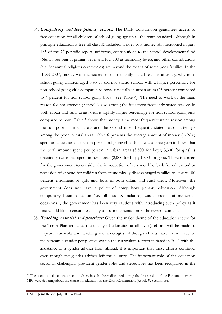- 34. **Compulsory and free primary school:** The Draft Constitution guarantees access to free education for all children of school going age up to the tenth standard. Although in principle education is free till class X included, it does cost money. As mentioned in para 185 of the  $7<sup>th</sup>$  periodic report, uniforms, contributions to the school development fund (Nu. 30 per year at primary level and Nu. 100 at secondary level), and other contributions (e.g. for annual religious ceremonies) are beyond the means of some poor families. In the BLSS 2007, money was the second most frequently stated reasons after age why nonschool going children aged 6 to 16 did not attend school, with a higher percentage for non-school going girls compared to boys, especially in urban areas (23 percent compared to 4 percent for non-school going boys - see [Table 4\)](#page-50-0). The need to work as the main reason for not attending school is also among the four most frequently stated reasons in both urban and rural areas, with a slightly higher percentage for non-school going girls compared to boys. [Table 5](#page-51-0) shows that money is the most frequently stated reason among the non-poor in urban areas and the second most frequently stated reason after age among the poor in rural areas. [Table 6](#page-52-0) presents the average amount of money (in Nu.) spent on educational expenses per school going child for the academic year: it shows that the total amount spent per person in urban areas (3,500 for boys; 3,300 for girls) is practically twice that spent in rural areas (2,000 for boys; 1,800 for girls). There is a need for the government to consider the introduction of schemes like 'cash for education' or provision of stipend for children from economically disadvantaged families to ensure 100 percent enrolment of girls and boys in both urban and rural areas. Moreover, the government does not have a policy of compulsory primary education. Although compulsory basic education (i.e. till class X included) was discussed at numerous occasions<sup>[28](#page-15-0)</sup>, the government has been very cautious with introducing such policy as it first would like to ensure feasibility of its implementation in the current context.
- 35. **Teaching material and practices:** Given the major theme of the education sector for the Tenth Plan (enhance the quality of education at all levels), efforts will be made to improve curricula and teaching methodologies. Although efforts have been made to mainstream a gender perspective within the curriculum reform initiated in 2004 with the assistance of a gender adviser from abroad, it is important that these efforts continue, even though the gender adviser left the country. The important role of the education sector in challenging prevalent gender roles and stereotypes has been recognised in the

<span id="page-15-0"></span><sup>&</sup>lt;sup>28</sup> The need to make education compulsory has also been discussed during the first session of the Parliament when MPs were debating about the clause on education in the Draft Constitution (Article 9, Section 16).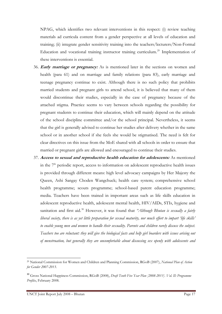NPAG, which identifies two relevant interventions in this respect: (i) review teaching materials ad curricula content from a gender perspective at all levels of education and training; (ii) integrate gender sensitivity training into the teachers/lecturers/Non-Formal Education and vocational training instructor training curriculum.<sup>[29](#page-16-0)</sup> Implementation of these interventions is essential.

- 36. **Early marriage or pregnancy:** As is mentioned later in the sections on women and health (para 61) and on marriage and family relations (para 83), early marriage and teenage pregnancy continue to exist. Although there is no such policy that prohibits married students and pregnant girls to attend school, it is believed that many of them would discontinue their studies, especially in the case of pregnancy because of the attached stigma. Practice seems to vary between schools regarding the possibility for pregnant students to continue their education, which will mainly depend on the attitude of the school discipline committee and/or the school principal. Nevertheless, it seems that the girl is generally advised to continue her studies after delivery whether in the same school or in another school if she feels she would be stigmatised. The need is felt for clear directives on this issue from the MoE shared with all schools in order to ensure that married or pregnant girls are allowed and encouraged to continue their studies.
- 37. **Access to sexual and reproductive health education for adolescents:** As mentioned in the  $7<sup>th</sup>$  periodic report, access to information on adolescent reproductive health issues is provided through different means: high level advocacy campaigns by Her Majesty the Queen, Ashi Sangay Choden Wangchuck; health care system; comprehensive school health programme; scouts programme; school-based parent education programme; media. Teachers have been trained in important areas such as life skills education in adolescent reproductive health, adolescent mental health, HIV/AIDs, STIs, hygiene and sanitation and first aid.<sup>[30](#page-16-1)</sup> However, it was found that *"Although Bhutan is sexually a fairly liberal society, there is as yet little preparation for sexual maturity, nor much effort to impart 'life skills' to enable young men and women to handle their sexuality. Parents and children rarely discuss the subject. Teachers too are reluctant: they will give the biological facts and help girl boarders with issues arising out of menstruation, but generally they are uncomfortable about discussing sex openly with adolescents and*

<span id="page-16-0"></span><sup>29</sup> National Commission for Women and Children and Planning Commission, RGoB (2007), *National Plan of Action for Gender 2007-2013*.

<span id="page-16-1"></span><sup>30</sup> Gross National Happiness Commission, RGoB (2008), *Draft Tenth Five Year Plan [2008-2013]. Vol. II: Programme Profiles*, February 2008.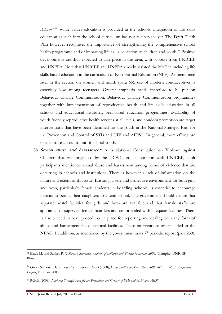*children".[31](#page-17-0)* While values education is provided in the schools, integration of life skills education as such into the school curriculum has not taken place yet. The Draft Tenth Plan however recognises the importance of strengthening the comprehensive school health programme and of imparting life skills education to children and youth.<sup>[32](#page-17-1)</sup> Positive developments are thus expected to take place in this area, with support from UNICEF and UNFPA. Note that UNICEF and UNFPA already assisted the MoE in including life skills based education in the curriculum of Non-Formal Education (NFE). As mentioned later in the section on women and health (para 65), use of modern contraceptives is especially low among teenagers. Greater emphasis needs therefore to be put on Behaviour Change Communication. Behaviour Change Communication programmes together with implementation of reproductive health and life skills education in all schools and educational institutes, peer-based education programmes, availability of youth friendly reproductive health services at all levels, and condom promotion are target interventions that have been identified for the youth in the National Strategic Plan for the Prevention and Control of STIs and HIV and AIDS.<sup>[33](#page-17-2)</sup> In general, more efforts are needed to reach out to out-of-school youth.

38. **Sexual abuse and harassment:** At a National Consultation on Violence against Children that was organised by the NCWC, in collaboration with UNICEF, adult participants mentioned sexual abuse and harassment among forms of violence that are occurring in schools and institutions. There is however a lack of information on the nature and extent of this issue. Ensuring a safe and protective environment for both girls and boys, particularly female students in boarding schools, is essential to encourage parents to permit their daughters to attend school. The government should ensure that separate hostel facilities for girls and boys are available and that female staffs are appointed to supervise female boarders and are provided with adequate facilities. There is also a need to have procedures in place for reporting and dealing with any form of abuse and harassment in educational facilities. These interventions are included in the NPAG. In addition, as mentioned by the government in its  $7<sup>th</sup>$  periodic report (para 239),

<span id="page-17-0"></span><sup>31</sup> Black M. and Stalker P. (2006), *A Situation Analysis of Children and Women in Bhutan 2006*, Thimphu, UNICEF Bhutan.

<span id="page-17-1"></span><sup>32</sup> Gross National Happiness Commission, RGoB (2008), *Draft Tenth Five Year Plan [2008-2013]. Vol. II: Programme Profiles*, February 2008.

<span id="page-17-2"></span><sup>33</sup> RGoB (2008), *National Strategic Plan for the Prevention and Control of STIs and HIV and AIDS*.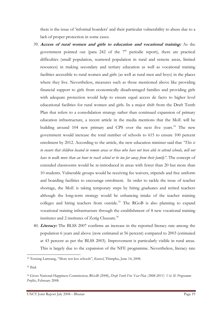there is the issue of 'informal boarders' and their particular vulnerability to abuse due to a lack of proper protection in some cases.

- 39. **Access of rural women and girls to education and vocational training:** As the government pointed out (para 242 of the  $7<sup>th</sup>$  periodic report), there are practical difficulties (small population, scattered population in rural and remote areas, limited resources) in making secondary and tertiary education as well as vocational training facilities accessible to rural women and girls (as well as rural men and boys) in the places where they live. Nevertheless, measures such as those mentioned above like providing financial support to girls from economically disadvantaged families and providing girls with adequate protection would help to ensure equal access de facto to higher level educational facilities for rural women and girls. In a major shift from the Draft Tenth Plan that refers to a consolidation strategy rather than continued expansion of primary education infrastructure, a recent article in the media mentions that the MoE will be building around 104 new primary and CPS over the next five years.<sup>[34](#page-18-0)</sup> The new government would increase the total number of schools to 615 to ensure 100 percent enrolment by 2012. According to the article, the new education minister said that *"This is to ensure that children located in remote areas or those who have not been able to attend schools, will not have to walk more than an hour to reach school or be too far away from their family"*. The concept of extended classrooms would be re-introduced in areas with fewer than 20 but more than 10 students. Vulnerable groups would be receiving fee waivers, stipends and free uniform and boarding facilities to encourage enrolment. In order to tackle the issue of teacher shortage, the MoE is taking temporary steps by hiring graduates and retired teachers although the long-term strategy would be enhancing intake of the teacher training colleges and hiring teachers from outside. $35$  The RGoB is also planning to expand vocational training infrastructure through the establishment of 8 new vocational training institutes and 2 institutes of Zorig Chuzum.[36](#page-18-2)
- 40. **Literacy:** The BLSS 2007 confirms an increase in the reported literacy rate among the population 6 years and above (now estimated at 56 percent) compared to 2003 (estimated at 43 percent as per the BLSS 2003). Improvement is particularly visible in rural areas. This is largely due to the expansion of the NFE programme. Nevertheless, literacy rate

<span id="page-18-0"></span><sup>34</sup> Tenzing Lamsang, "More not less schools", *Kuensel*, Thimphu, June 14, 2008.

<span id="page-18-1"></span><sup>35</sup> Ibid.

<span id="page-18-2"></span><sup>36</sup> Gross National Happiness Commission, RGoB (2008), *Draft Tenth Five Year Plan [2008-2013]. Vol. II: Programme Profiles*, February 2008.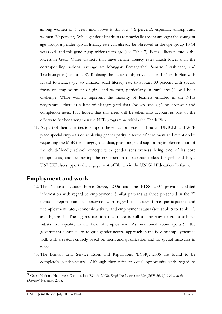among women of 6 years and above is still low (46 percent), especially among rural women (39 percent). While gender disparities are practically absent amongst the youngest age group, a gender gap in literacy rate can already be observed in the age group 10-14 years old, and this gender gap widens with age (see [Table 7\)](#page-52-1). Female literacy rate is the lowest in Gasa. Other districts that have female literacy rates much lower than the corresponding national average are Monggar, Pemagatshel, Samtse, Trashigang, and Trashiyangtse (see [Table 8\)](#page-53-0). Realising the national objective set for the Tenth Plan with regard to literacy (i.e. to enhance adult literacy rate to at least 80 percent with special focus on empowerment of girls and women, particularly in rural areas) $37$  will be a challenge. While women represent the majority of learners enrolled in the NFE programme, there is a lack of disaggregated data (by sex and age) on drop-out and completion rates. It is hoped that this need will be taken into account as part of the efforts to further strengthen the NFE programme within the Tenth Plan.

41. As part of their activities to support the education sector in Bhutan, UNICEF and WFP place special emphasis on achieving gender parity in terms of enrolment and retention by requesting the MoE for disaggregated data, promoting and supporting implementation of the child-friendly school concept with gender sensitiveness being one of its core components, and supporting the construction of separate toilets for girls and boys. UNICEF also supports the engagement of Bhutan in the UN Girl Education Initiative.

## **Employment and work**

- 42. The National Labour Force Survey 2006 and the BLSS 2007 provide updated information with regard to employment. Similar patterns as those presented in the  $7<sup>th</sup>$ periodic report can be observed with regard to labour force participation and unemployment rates, economic activity, and employment status (see [Table 9](#page-54-0) to [Table 12,](#page-56-0) and [Figure 1\)](#page-55-0). The figures confirm that there is still a long way to go to achieve substantive equality in the field of employment. As mentioned above (para 9), the government continues to adopt a gender neutral approach in the field of employment as well, with a system entirely based on merit and qualification and no special measures in place.
- 43. The Bhutan Civil Service Rules and Regulations (BCSR), 2006 are found to be completely gender-neutral. Although they refer to equal opportunity with regard to

<span id="page-19-0"></span><sup>37</sup> Gross National Happiness Commission, RGoB (2008), *Draft Tenth Five Year Plan [2008-2013]. Vol. I: Main Document*, February 2008.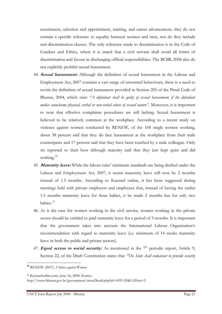recruitment, selection and appointment, training, and career advancement, they do not contain a specific reference to equality between women and men, nor do they include anti-discrimination clauses. The only reference made to discrimination is in the Code of Conduct and Ethics, where it is stated that a civil servant shall avoid all forms of discrimination and favour in discharging official responsibilities. The BCSR, 2006 also do not explicitly prohibit sexual harassment.

- 44. **Sexual harassment:** Although the definition of sexual harassment in the Labour and Employment Act, 2007 contains a vast range of unwanted behaviours, there is a need to revisit the definition of sexual harassment provided in Section 205 of the Penal Code of Bhutan, 2004, which *states "A defendant shall be guilty of sexual harassment, if the defendant makes unwelcome physical, verbal or non-verbal abuse of sexual nature"*. Moreover, it is important to note that effective complaints procedures are still lacking. Sexual harassment is believed to be relatively common at the workplace. According to a recent study on violence against women conducted by RENEW, of the 168 single women working, about 38 percent said that they do face harassment at the workplace from their male counterparts and 17 percent said that they have been touched by a male colleague. Only six reported to their boss although majority said that they just kept quiet and did nothing.<sup>[38](#page-20-0)</sup>
- 45. **Maternity leave:** While the labour rules' minimum standards are being drafted under the Labour and Employment Act, 2007, it seems maternity leave will now be 2 months instead of 1.5 months. According to Kuensel online, it has been suggested during meetings held with private employers and employees that, instead of having the earlier 1.5 months maternity leave for three babies, it be made 2 months but for only two babies.[39](#page-20-1)
- 46. As is the case for women working in the civil service, women working in the private sector should be entitled to paid maternity leave for a period of 3 months. It is important that the government takes into account the International Labour Organisation's recommendation with regard to maternity leave (i.e. minimum of 14 weeks maternity leave in both the public and private sectors).
- 47. **Equal access to social security:** As mentioned in the  $7<sup>th</sup>$  periodic report, Article 9, Section 22, of the Draft Constitution states that *"The State shall endeavour to provide security*

<span id="page-20-0"></span><sup>38</sup> RENEW (2007), *Violence against Women*.

<span id="page-20-1"></span><sup>39</sup> Kuenselonline.com, June 16, 2008. Source:

http://www.bhutan.gov.bt/government/newsDetail.php?id=695%20&%20cat=2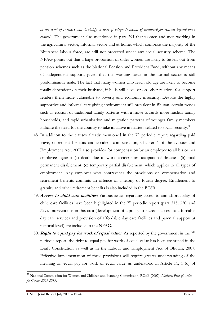*in the event of sickness and disability or lack of adequate means of livelihood for reasons beyond one's control"*. The government also mentioned in para 291 that women and men working in the agricultural sector, informal sector and at home, which comprise the majority of the Bhutanese labour force, are still not protected under any social security scheme. The NPAG points out that a large proportion of older women are likely to be left out from pension schemes such as the National Pension and Provident Fund, without any means of independent support, given that the working force in the formal sector is still predominantly male. The fact that many women who reach old age are likely to become totally dependent on their husband, if he is still alive, or on other relatives for support renders them more vulnerable to poverty and economic insecurity. Despite the highly supportive and informal care giving environment still prevalent in Bhutan, certain trends such as erosion of traditional family patterns with a move towards more nuclear family households, and rapid urbanisation and migration patterns of younger family members indicate the need for the country to take initiative in matters related to social security.<sup>[40](#page-21-0)</sup>

- 48. In addition to the clauses already mentioned in the  $7<sup>th</sup>$  periodic report regarding paid leave, retirement benefits and accident compensation, Chapter 6 of the Labour and Employment Act, 2007 also provides for compensation by an employer to all his or her employees against (a) death due to work accident or occupational diseases; (b) total permanent disablement; (c) temporary partial disablement, which applies to all types of employment. Any employer who contravenes the provisions on compensation and retirement benefits commits an offence of a felony of fourth degree. Entitlement to gratuity and other retirement benefits is also included in the BCSR.
- 49. **Access to child care facilities:** Various issues regarding access to and affordability of child care facilities have been highlighted in the  $7<sup>th</sup>$  periodic report (para 315, 320, and 329). Interventions in this area (development of a policy to increase access to affordable day care services and provision of affordable day care facilities and parental support at national level) are included in the NPAG.
- 50. **Right to equal pay for work of equal value:** As reported by the government in the  $7<sup>th</sup>$ periodic report, the right to equal pay for work of equal value has been enshrined in the Draft Constitution as well as in the Labour and Employment Act of Bhutan, 2007. Effective implementation of these provisions will require greater understanding of the meaning of 'equal pay for work of equal value' as understood in Article 11, 1 (d) of

<span id="page-21-0"></span><sup>40</sup> National Commission for Women and Children and Planning Commission, RGoB (2007), *National Plan of Action for Gender 2007-2013*.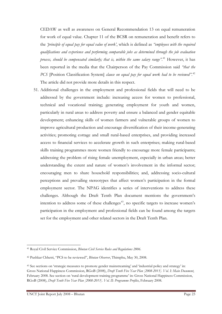CEDAW as well as awareness on General Recommendation 13 on equal remuneration for work of equal value. Chapter 11 of the BCSR on remuneration and benefit refers to the *'principle of equal pay for equal value of work'*, which is defined as *"employees with the required qualifications and experience and performing comparable jobs as determined through the job evaluation process, should be compensated similarly; that is, within the same salary range"*. [41](#page-22-0) However, it has been reported in the media that the Chairperson of the Pay Commission said *"that the*  PCS [Position Classification System] *clause on equal pay for equal work had to be reviewed*".<sup>[42](#page-22-1)</sup> The article did not provide more details in this respect.

51. Additional challenges in the employment and professional fields that will need to be addressed by the government include: increasing access for women to professional, technical and vocational training; generating employment for youth and women, particularly in rural areas to address poverty and ensure a balanced and gender equitable development; enhancing skills of women farmers and vulnerable groups of women to improve agricultural production and encourage diversification of their income-generating activities; promoting cottage and small rural-based enterprises, and providing increased access to financial services to accelerate growth in such enterprises; making rural-based skills training programmes more women friendly to encourage more female participants; addressing the problem of rising female unemployment, especially in urban areas; better understanding the extent and nature of women's involvement in the informal sector; encouraging men to share household responsibilities; and, addressing socio-cultural perceptions and prevailing stereotypes that affect women's participation in the formal employment sector. The NPAG identifies a series of interventions to address these challenges. Although the Draft Tenth Plan document mentions the government's intention to address some of these challenges $43$ , no specific targets to increase women's participation in the employment and professional fields can be found among the targets set for the employment and other related sectors in the Draft Tenth Plan.

<span id="page-22-0"></span> 41 Royal Civil Service Commission, *Bhutan Civil Service Rules and Regulations 2006*.

<span id="page-22-1"></span><sup>42</sup> Pushkar Chhetri, "PCS to be reviewed", *Bhutan Observer*, Thimphu, May 30, 2008.

<span id="page-22-2"></span><sup>43</sup> See sections on 'strategic measures to promote gender mainstreaming' and 'industrial policy and strategy' in: Gross National Happiness Commission, RGoB (2008), *Draft Tenth Five Year Plan [2008-2013]. Vol. I: Main Document*, February 2008. See section on 'rural development training programme' in: Gross National Happiness Commission, RGoB (2008), *Draft Tenth Five Year Plan [2008-2013]. Vol. II: Programme Profiles*, February 2008.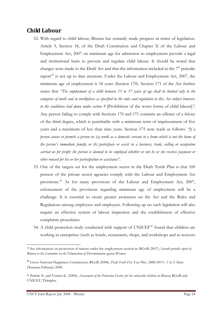## **Child Labour**

- 52. With regard to child labour, Bhutan has certainly made progress in terms of legislation. Article 9, Section 18, of the Draft Constitution and Chapter X of the Labour and Employment Act, 2007 on minimum age for admission to employment provide a legal and institutional basis to prevent and regulate child labour. It should be noted that changes were made to the Draft Act and that the information included in the  $7<sup>th</sup>$  periodic report<sup>[44](#page-23-0)</sup> is not up to date anymore. Under the Labour and Employment Act, 2007, the minimum age of employment is 18 years (Section 170). Section 171 of the Act further states that *"The employment of a child between 13 to 17 years of age shall be limited only to the categories of work and in workplaces as specified in the rules and regulation to this Act subject however, to the conditions laid down under section 9* [Prohibition of the worst forms of child labour]*"*. Any person failing to comply with Sections 170 and 171 commits an offence of a felony of the third degree, which is punishable with a minimum term of imprisonment of five years and a maximum of less than nine years. Section 175 now reads as follows: *"If a person causes or permits a person to: (a) work as a domestic servant in a home which is not the home of the person's immediate family; or (b) participate or assist in a business, trade, calling or occupation carried on for profit: the person is deemed to be employed whether or not he or she receives payment or other reward for his or her participation or assistance"*.
- 53. One of the targets set for the employment sector in the Draft Tenth Plan is that 100 percent of the private sector agencies comply with the Labour and Employment Act provisions[.45](#page-23-1) As for many provisions of the Labour and Employment Act, 2007, enforcement of the provisions regarding minimum age of employment will be a challenge. It is essential to create greater awareness on the Act and the Rules and Regulations among employers and employees. Following up on such legislation will also require an effective system of labour inspection and the establishment of effective complaints procedures.
- 54. A child protection study conducted with support of UNICEF<sup>[46](#page-23-2)</sup> found that children are working in enterprises (such as hotels, restaurants, shops, and workshops and as weavers

<span id="page-23-0"></span> 44 See information on protection of minors under the employment section in: RGoB (2007), *Seventh periodic report of Bhutan to the Committee on the Elimination of Discrimination against Women*.

<span id="page-23-1"></span><sup>45</sup> Gross National Happiness Commission, RGoB (2008), *Draft Tenth Five Year Plan [2008-2013]. Vol. I: Main Document*, February 2008.

<span id="page-23-2"></span><sup>46</sup> Pathak N. and Yonten K. (2004), *Assessment of the Protection Factors for the vulnerable children in Bhutan*, RGoB and UNICEF, Thimphu.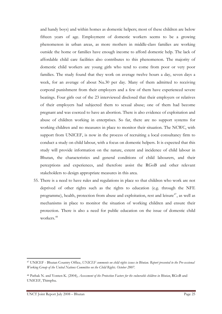and handy boys) and within homes as domestic helpers; most of these children are below fifteen years of age. Employment of domestic workers seems to be a growing phenomenon in urban areas, as more mothers in middle-class families are working outside the home or families have enough income to afford domestic help. The lack of affordable child care facilities also contributes to this phenomenon. The majority of domestic child workers are young girls who tend to come from poor or very poor families. The study found that they work on average twelve hours a day, seven days a week, for an average of about Nu.30 per day. Many of them admitted to receiving corporal punishment from their employers and a few of them have experienced severe beatings. Four girls out of the 23 interviewed disclosed that their employers or relatives of their employers had subjected them to sexual abuse; one of them had become pregnant and was coerced to have an abortion. There is also evidence of exploitation and abuse of children working in enterprises. So far, there are no support systems for working children and no measures in place to monitor their situation. The NCWC, with support from UNICEF, is now in the process of recruiting a local consultancy firm to conduct a study on child labour, with a focus on domestic helpers. It is expected that this study will provide information on the nature, extent and incidence of child labour in Bhutan, the characteristics and general conditions of child labourers, and their perceptions and experiences, and therefore assist the RGoB and other relevant stakeholders to design appropriate measures in this area.

55. There is a need to have rules and regulations in place so that children who work are not deprived of other rights such as the rights to education (e.g. through the NFE programme), health, protection from abuse and exploitation, rest and leisure<sup>[47](#page-24-0)</sup>, as well as mechanisms in place to monitor the situation of working children and ensure their protection. There is also a need for public education on the issue of domestic child workers.<sup>[48](#page-24-1)</sup>

<span id="page-24-0"></span><sup>47</sup> UNICEF - Bhutan Country Office, *UNICEF comments on child rights issues in Bhutan. Report presented to the Pre-sessional Working Group of the United Nations Committee on the Child Rights. October 2007.*

<span id="page-24-1"></span><sup>48</sup> Pathak N. and Yonten K. (2004), *Assessment of the Protection Factors for the vulnerable children in Bhutan*, RGoB and UNICEF, Thimphu.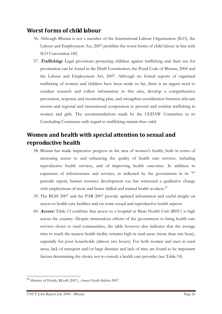## **Worst forms of child labour**

- 56. Although Bhutan is not a member of the International Labour Organisation (ILO), the Labour and Employment Act, 2007 prohibits the worst forms of child labour in line with ILO Convention 182.
- 57. **Trafficking:** Legal provisions protecting children against trafficking and their use for prostitution can be found in the Draft Constitution, the Penal Code of Bhutan, 2004 and the Labour and Employment Act, 2007. Although no formal reports of organised trafficking of women and children have been made so far, there is an urgent need to conduct research and collect information in this area, develop a comprehensive prevention, response and monitoring plan, and strengthen coordination between relevant sectors and regional and international cooperation to prevent and combat trafficking in women and girls. The recommendations made by the CEDAW Committee in its Concluding Comments with regard to trafficking remain thus valid.

## **Women and health with special attention to sexual and reproductive health**

- 58. Bhutan has made impressive progress in the area of women's health, both in terms of increasing access to and enhancing the quality of health care services, including reproductive health services, and of improving health outcomes. In addition to expansion of infrastructure and services, as indicated by the government in its  $7<sup>th</sup>$ periodic report, human resource development too has witnessed a qualitative change with employment of more and better skilled and trained health workers.<sup>[49](#page-25-0)</sup>
- 59. The BLSS 2007 and the PAR 2007 provide updated information and useful insight on access to health care facilities and on some sexual and reproductive health aspects.
- 60. **Access:** [Table 13](#page-56-1) confirms that access to a hospital or Basic Health Unit (BHU) is high across the country. Despite tremendous efforts of the government to bring health care services closer to rural communities, the table however also indicates that the average time to reach the nearest health facility remains high in rural areas (more than one hour), especially for poor households (almost two hours). For both women and men in rural areas, lack of transport and/or large distance and lack of time are found to be important factors determining the choice not to consult a health care provider (see [Table 14](#page-57-0)).

<span id="page-25-0"></span><sup>49</sup> Ministry of Health, RGoB (2007), *Annual Health Bulletin 2007*.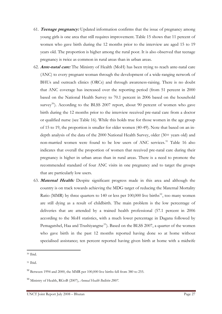- 61. **Teenage pregnancy:** Updated information confirms that the issue of pregnancy among young girls is one area that still requires improvement. [Table 15](#page-57-1) shows that 11 percent of women who gave birth during the 12 months prior to the interview are aged 15 to 19 years old. The proportion is higher among the rural poor. It is also observed that teenage pregnancy is twice as common in rural areas than in urban areas.
- 62. **Ante-natal care:** The Ministry of Health (MoH) has been trying to reach ante-natal care (ANC) to every pregnant woman through the development of a wide-ranging network of BHUs and outreach clinics (ORCs) and through awareness-raising. There is no doubt that ANC coverage has increased over the reporting period (from 51 percent in 2000 based on the National Health Survey to 70.1 percent in 2006 based on the household survey<sup>[50](#page-26-0)</sup>). According to the BLSS 2007 report, about 90 percent of women who gave birth during the 12 months prior to the interview received pre-natal care from a doctor or qualified nurse (see [Table 16](#page-58-0)). While this holds true for those women in the age group of 15 to 19, the proportion is smaller for older women (40-49). Note that based on an indepth analysis of the data of the 2000 National Health Survey, older (30+ years old) and non-married women were found to be low users of ANC services.<sup>[51](#page-26-1)</sup> [Table 16](#page-58-0) also indicates that overall the proportion of women that received pre-natal care during their pregnancy is higher in urban areas than in rural areas. There is a need to promote the recommended standard of four ANC visits in one pregnancy and to target the groups that are particularly low users.
- 63. **Maternal Health:** Despite significant progress made in this area and although the country is on track towards achieving the MDG target of reducing the Maternal Mortality Ratio (MMR) by three quarters to 140 or less per  $100,000$  live births<sup>[52](#page-26-2)</sup>, too many women are still dying as a result of childbirth. The main problem is the low percentage of deliveries that are attended by a trained health professional (57.1 percent in 2006 according to the MoH statistics, with a much lower percentage in Dagana followed by Pemagatshel, Haa and Trashiyangtse<sup>[53](#page-26-3)</sup>). Based on the BLSS 2007, a quarter of the women who gave birth in the past 12 months reported having done so at home without specialised assistance; ten percent reported having given birth at home with a midwife

<span id="page-26-0"></span> 50 Ibid.

<span id="page-26-1"></span><sup>51</sup> Ibid.

<span id="page-26-2"></span><sup>&</sup>lt;sup>52</sup> Between 1994 and 2000, the MMR per 100,000 live births fell from 380 to 255.

<span id="page-26-3"></span><sup>53</sup> Ministry of Health, RGoB (2007), *Annual Health Bulletin 2007*.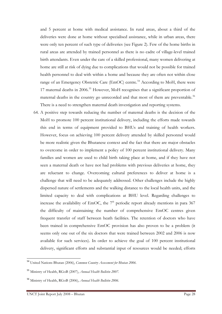and 5 percent at home with medical assistance. In rural areas, about a third of the deliveries were done at home without specialised assistance, while in urban areas, there were only ten percent of such type of deliveries (see [Figure 2\)](#page-59-0). Few of the home births in rural areas are attended by trained personnel as there is no cadre of village-level trained birth attendants. Even under the care of a skilled professional, many women delivering at home are still at risk of dying due to complications that would not be possible for trained health personnel to deal with within a home and because they are often not within close range of an Emergency Obstetric Care (EmOC) centre.<sup>[54](#page-27-0)</sup> According to MoH, there were 17 maternal deaths in 2006.<sup>[55](#page-27-1)</sup> However, MoH recognises that a significant proportion of maternal deaths in the country go unrecorded and that most of them are preventable.<sup>[56](#page-27-2)</sup> There is a need to strengthen maternal death investigation and reporting systems.

64. A positive step towards reducing the number of maternal deaths is the decision of the MoH to promote 100 percent institutional delivery, including the efforts made towards this end in terms of equipment provided to BHUs and training of health workers. However, focus on achieving 100 percent delivery attended by skilled personnel would be more realistic given the Bhutanese context and the fact that there are major obstacles to overcome in order to implement a policy of 100 percent institutional delivery. Many families and women are used to child birth taking place at home, and if they have not seen a maternal death or have not had problems with previous deliveries at home, they are reluctant to change. Overcoming cultural preferences to deliver at home is a challenge that will need to be adequately addressed. Other challenges include the highly dispersed nature of settlements and the walking distance to the local health units, and the limited capacity to deal with complications at BHU level. Regarding challenges to increase the availability of EmOC, the  $7<sup>th</sup>$  periodic report already mentions in para 367 the difficulty of maintaining the number of comprehensive EmOC centres given frequent transfer of staff between heath facilities. The retention of doctors who have been trained in comprehensive EmOC provision has also proven to be a problem (it seems only one out of the six doctors that were trained between 2002 and 2006 is now available for such services). In order to achieve the goal of 100 percent institutional delivery, significant efforts and substantial input of resources would be needed; efforts

<span id="page-27-0"></span><sup>54</sup> United Nations Bhutan (2006), *Common Country Assessment for Bhutan 2006*.

<span id="page-27-1"></span><sup>55</sup> Ministry of Health, RGoB (2007), *Annual Health Bulletin 2007*.

<span id="page-27-2"></span><sup>56</sup> Ministry of Health, RGoB (2006), *Annual Health Bulletin 2006*.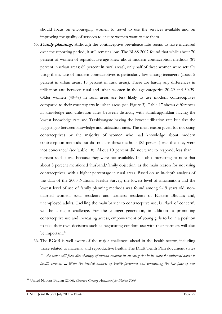should focus on encouraging women to travel to use the services available and on improving the quality of services to ensure women want to use them.

- 65. **Family planning:** Although the contraceptive prevalence rate seems to have increased over the reporting period, it still remains low. The BLSS 2007 found that while about 70 percent of women of reproductive age knew about modern contraception methods (81 percent in urban areas; 69 percent in rural areas), only half of these women were actually using them. Use of modern contraceptives is particularly low among teenagers (about 5 percent in urban areas; 15 percent in rural areas). There are hardly any differences in utilisation rate between rural and urban women in the age categories 20-29 and 30-39. Older women (40-49) in rural areas are less likely to use modern contraceptives compared to their counterparts in urban areas (see [Figure 3](#page-59-1)). [Table 17](#page-60-0) shows differences in knowledge and utilisation rates between districts, with Samdrupjonkhar having the lowest knowledge rate and Trashiyangste having the lowest utilisation rate but also the biggest gap between knowledge and utilisation rates. The main reason given for not using contraceptives by the majority of women who had knowledge about modern contraception methods but did not use these methods (83 percent) was that they were 'not concerned' (see [Table 18](#page-60-1)). About 10 percent did not want to respond; less than 1 percent said it was because they were not available. It is also interesting to note that about 3 percent mentioned 'husband/family objection' as the main reason for not using contraceptives, with a higher percentage in rural areas. Based on an in-depth analysis of the data of the 2000 National Health Survey, the lowest level of information and the lowest level of use of family planning methods was found among 9-19 years old; nonmarried women; rural residents and farmers; residents of Eastern Bhutan; and, unemployed adults. Tackling the main barrier to contraceptive use, i.e. 'lack of concern', will be a major challenge. For the younger generation, in addition to promoting contraceptive use and increasing access, empowerment of young girls to be in a position to take their own decisions such as negotiating condom use with their partners will also be important.<sup>[57](#page-28-0)</sup>
- 66. The RGoB is well aware of the major challenges ahead in the health sector, including those related to maternal and reproductive health. The Draft Tenth Plan document states *"... the sector still faces dire shortage of human resource in all categories in its move for universal access to health services. ... With the limited number of health personnel and considering the low pace of new*

<span id="page-28-0"></span><sup>57</sup> United Nations Bhutan (2006), *Common Country Assessment for Bhutan 2006*.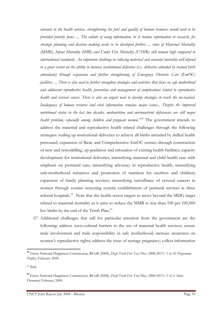- *entrants to the health services, strengthening the pool and quality of human resources would need to be provided priority focus. ... The culture of using information, be it routine information or research, for strategic planning and decision making needs to be developed further. ... rates of Maternal Mortality (MMR), Infant Mortality (IMR) and Under Five Mortality (U5MR) still remain high compared to international standards. An important challenge in reducing maternal and neonatal mortality will depend to a great extent on the ability to increase institutional deliveries (i.e., deliveries attended by trained birth attendants) through expansion and further strengthening of Emergency Obstetric Care (EmOC) facilities. ... There is also need to further strengthen strategies and activities that focus on safe motherhood and adolescent reproductive health, prevention and management of complications related to reproductive health and cervical cancer. There is also an urgent need to develop strategies to reach the un-reached. Inadequacy of human resource and vital information remains major issues... Despite the improved nutritional status in the last two decades, malnutrition and micronutrient deficiencies are still major health problem, especially among children and pregnant women."[58](#page-29-0)* The government intends to address the maternal and reproductive health related challenges through the following strategies: scaling up institutional deliveries to achieve all births attended by skilled health personnel; expansion of Basic and Comprehensive EmOC centres through construction of new and remodelling, up-gradation and relocation of existing health facilities; capacity development for institutional deliveries; intensifying maternal and child health care with emphasis on postnatal care; intensifying advocacy in reproductive health; intensifying safe-motherhood initiatives and promotion of nutrition for mothers and children; expansion of family planning services; intensifying surveillance of cervical cancers in women through routine screening system; establishment of perinatal services at three referral hospitals.<sup>[59](#page-29-1)</sup> Note that the health sector targets to move beyond the MDG target related to maternal mortality as it aims to reduce the MMR to less than 100 per 100,000 live births by the end of the Tenth Plan.<sup>[60](#page-29-2)</sup>
- 67. Additional challenges that call for particular attention from the government are the following: address socio-cultural barriers to the use of maternal health services; ensure male involvement and male responsibility in safe motherhood; increase awareness on women's reproductive rights; address the issue of teenage pregnancy; collect information

<span id="page-29-0"></span><sup>58</sup> Gross National Happiness Commission, RGoB (2008), *Draft Tenth Five Year Plan [2008-2013]. Vol. II: Programme Profiles*, February 2008.

<span id="page-29-1"></span><sup>59</sup> Ibid.

<span id="page-29-2"></span><sup>60</sup> Gross National Happiness Commission, RGoB (2008), *Draft Tenth Five Year Plan [2008-2013]. Vol. I: Main Document*, February 2008.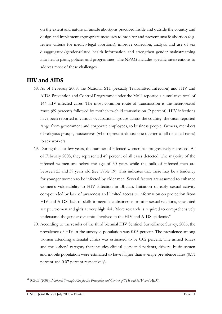on the extent and nature of unsafe abortions practiced inside and outside the country and design and implement appropriate measures to monitor and prevent unsafe abortion (e.g. review criteria for medico-legal abortions); improve collection, analysis and use of sex disaggregated/gender-related health information and strengthen gender mainstreaming into health plans, policies and programmes. The NPAG includes specific interventions to address most of these challenges.

## **HIV and AIDS**

- 68. As of February 2008, the National STI (Sexually Transmitted Infection) and HIV and AIDS Prevention and Control Programme under the MoH reported a cumulative total of 144 HIV infected cases. The most common route of transmission is the heterosexual route (89 percent) followed by mother-to-child transmission (9 percent). HIV infections have been reported in various occupational groups across the country: the cases reported range from government and corporate employees, to business people, farmers, members of religious groups, housewives (who represent almost one quarter of all detected cases) to sex workers.
- 69. During the last few years, the number of infected women has progressively increased. As of February 2008, they represented 49 percent of all cases detected. The majority of the infected women are below the age of 30 years while the bulk of infected men are between 25 and 39 years old (see [Table 19\)](#page-61-0). This indicates that there may be a tendency for younger women to be infected by older men. Several factors are assumed to enhance women's vulnerability to HIV infection in Bhutan. Initiation of early sexual activity compounded by lack of awareness and limited access to information on protection from HIV and AIDS, lack of skills to negotiate abstinence or safer sexual relations, unwanted sex put women and girls at very high risk. More research is required to comprehensively understand the gender dynamics involved in the HIV and AIDS epidemic.<sup>[61](#page-30-0)</sup>
- 70. According to the results of the third biennial HIV Sentinel Surveillance Survey, 2006, the prevalence of HIV in the surveyed population was 0.05 percent. The prevalence among women attending antenatal clinics was estimated to be 0.02 percent. The armed forces and the 'others' category that includes clinical suspected patients, drivers, businessmen and mobile population were estimated to have higher than average prevalence rates (0.11 percent and 0.07 percent respectively).

<span id="page-30-0"></span><sup>61</sup> RGoB (2008), *National Strategic Plan for the Prevention and Control of STIs and HIV and AIDS*.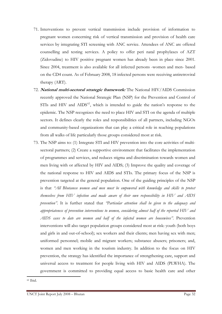- 71. Interventions to prevent vertical transmission include provision of information to pregnant women concerning risk of vertical transmission and provision of health care services by integrating STI screening with ANC service. Attendees of ANC are offered counselling and testing services. A policy to offer peri natal prophylaxes of AZT (Zidovudine) to HIV positive pregnant women has already been in place since 2001. Since 2004, treatment is also available for all infected persons -women and men- based on the CD4 count. As of February 2008, 18 infected persons were receiving antiretroviral therapy (ART).
- 72. **National multi-sectoral strategic framework:** The National HIV/AIDS Commission recently approved the National Strategic Plan (NSP) for the Prevention and Control of STIs and HIV and  $AIDS^{62}$  $AIDS^{62}$  $AIDS^{62}$ , which is intended to guide the nation's response to the epidemic. The NSP recognizes the need to place HIV and STI on the agenda of multiple sectors. It defines clearly the roles and responsibilities of all partners, including NGOs and community-based organizations that can play a critical role in reaching populations from all walks of life particularly those groups considered most at risk.
- 73. The NSP aims to: (1) Integrate STI and HIV prevention into the core activities of multisectoral partners; (2) Create a supportive environment that facilitates the implementation of programmes and services, and reduces stigma and discrimination towards women and men living with or affected by HIV and AIDS; (3) Improve the quality and coverage of the national response to HIV and AIDS and STIs. The primary focus of the NSP is prevention targeted at the general population. One of the guiding principles of the NSP is that "All Bhutanese women and men must be empowered with knowledge and skills to protect *themselves from HIV infection and made aware of their own responsibility in HIV and AIDS prevention"*. It is further stated that *"Particular attention shall be given to the adequacy and appropriateness of prevention interventions to women, considering almost half of the reported HIV and AIDS cases to date are women and half of the infected women are housewives"*. Prevention interventions will also target population groups considered most at risk: youth (both boys and girls in and out-of-school); sex workers and their clients; men having sex with men; uniformed personnel; mobile and migrant workers; substance abusers; prisoners; and, women and men working in the tourism industry. In addition to the focus on HIV prevention, the strategy has identified the importance of strengthening care, support and universal access to treatment for people living with HIV and AIDS (PLWHA). The government is committed to providing equal access to basic health care and other

<span id="page-31-0"></span><sup>62</sup> Ibid.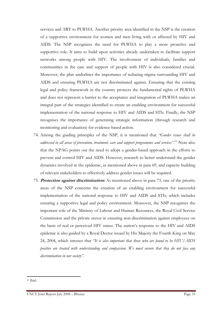services and ART to PLWHA. Another priority area identified in the NSP is the creation of a supportive environment for women and men living with or affected by HIV and AIDS. The NSP recognizes the need for PLWHA to play a more proactive and supportive role. It aims to build upon activities already undertaken to facilitate support networks among people with HIV. The involvement of individuals, families and communities in the care and support of people with HIV is also considered crucial. Moreover, the plan underlines the importance of reducing stigma surrounding HIV and AIDS and ensuring PLWHA are not discriminated against. Ensuring that the existing legal and policy framework in the country protects the fundamental rights of PLWHA and does not represent a barrier to the acceptance and integration of PLWHA makes an integral part of the strategies identified to create an enabling environment for successful implementation of the national response to HIV and AIDS and STIs. Finally, the NSP recognises the importance of generating strategic information (through research and monitoring and evaluation) for evidence-based action.

- 74. Among the guiding principles of the NSP, it is mentioned that *"Gender issues shall be addressed in all areas of prevention, treatment, care and support programmes and services"*. [63](#page-32-0) Note also that the NPAG points out the need to adopt a gender-based approach in the efforts to prevent and control HIV and AIDS. However, research to better understand the gender dynamics involved in the epidemic, as mentioned above in para 69, and capacity building of relevant stakeholders to effectively address gender issues will be required.
- 75. **Protection against discrimination:** As mentioned above in para 73, one of the priority areas of the NSP concerns the creation of an enabling environment for successful implementation of the national response to HIV and AIDS and STIs, which includes ensuring a supportive legal and policy environment. Moreover, the NSP recognises the important role of the Ministry of Labour and Human Resources, the Royal Civil Service Commission and the private sector in ensuring non-discrimination against employees on the basis of real or perceived HIV status. The nation's response to the HIV and AIDS epidemic is also guided by a Royal Decree issued by His Majesty the Fourth King on May 24, 2004, which stresses that *"It is also important that those who are found to be HIV/AIDS positive are treated with understanding and compassion. We must ensure that they do not face any discrimination in our society"*.

<span id="page-32-0"></span><sup>63</sup> Ibid.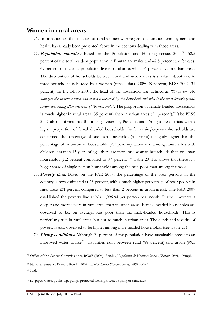## **Women in rural areas**

- 76. Information on the situation of rural women with regard to education, employment and health has already been presented above in the sections dealing with those areas.
- 77. **Population statistics:** Based on the Population and Housing census 2005<sup>[64](#page-33-0)</sup>, 52.5 percent of the total resident population in Bhutan are males and 47.5 percent are females. 69 percent of the total population live in rural areas while 31 percent live in urban areas. The distribution of households between rural and urban areas is similar. About one in three households is headed by a woman (census data 2005: 28 percent; BLSS 2007: 31 percent). In the BLSS 2007, the head of the household was defined as *"the person who manages the income earned and expense incurred by the household and who is the most knowledgeable person concerning other members of the household"*. The proportion of female-headed households is much higher in rural areas  $(35$  percent) than in urban areas  $(21$  percent).<sup>[65](#page-33-1)</sup> The BLSS 2007 also confirms that Bumthang, Lhuentse, Punakha and Trongsa are districts with a higher proportion of female-headed households. As far as single-person-households are concerned, the percentage of one-man households (3 percent) is slightly higher than the percentage of one-woman households (2.7 percent). However, among households with children less than 15 years of age, there are more one-woman households than one-man households (1.2 percent compared to  $0.4$  percent).<sup>[66](#page-33-2)</sup> [Table 20](#page-62-0) also shows that there is a bigger share of single-person households among the non-poor than among the poor.
- 78. **Poverty data:** Based on the PAR 2007, the percentage of the poor persons in the country is now estimated at 23 percent, with a much higher percentage of poor people in rural areas (31 percent compared to less than 2 percent in urban areas). The PAR 2007 established the poverty line at Nu. 1,096.94 per person per month. Further, poverty is deeper and more severe in rural areas than in urban areas. Female-headed households are observed to be, on average, less poor than the male-headed households. This is particularly true in rural areas, but not so much in urban areas. The depth and severity of poverty is also observed to be higher among male-headed households. (see [Table 21](#page-62-1))
- 79. **Living conditions:** Although 91 percent of the population have sustainable access to an improved water source<sup>[67](#page-33-3)</sup>, disparities exist between rural (88 percent) and urban (99.5

<span id="page-33-0"></span><sup>&</sup>lt;sup>64</sup> Office of the Census Commissioner, RGoB (2006), *Results of Population & Housing Census of Bhutan 2005*, Thimphu.

<span id="page-33-1"></span><sup>65</sup> National Statistics Bureau, RGoB (2007), *Bhutan Living Standard Survey 2007 Report*.

<span id="page-33-2"></span><sup>66</sup> Ibid.

<span id="page-33-3"></span><sup>67</sup> i.e. piped water, public tap, pump, protected wells, protected spring or rainwater.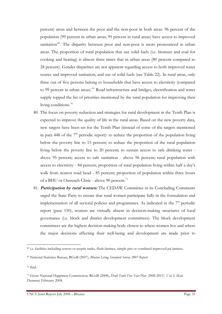percent) areas and between the poor and the non-poor in both areas. 96 percent of the population (99 percent in urban areas; 95 percent in rural areas) have access to improved sanitation<sup>[68](#page-34-0)</sup>. The disparity between poor and non-poor is more pronounced in urban areas. The proportion of rural population that use solid fuels (i.e. biomass and coal for cooking and heating) is almost three times that in urban areas (80 percent compared to 28 percent). Gender disparities are not apparent regarding access to both improved water source and improved sanitation, and use of solid fuels (see [Table 22](#page-63-0)). In rural areas, only three out of five persons belong to households that have access to electricity (compared to 99 percent in urban areas).<sup>[69](#page-34-1)</sup> Road infrastructure and bridges, electrification and water supply topped the list of priorities mentioned by the rural population for improving their living conditions.<sup>[70](#page-34-2)</sup>

- 80. The focus on poverty reduction and strategies for rural development in the Tenth Plan is expected to improve the quality of life in the rural areas. Based on the new poverty data, new targets have been set for the Tenth Plan (instead of some of the targets mentioned in para 448 of the  $7<sup>th</sup>$  periodic report): to reduce the proportion of the population living below the poverty line to 15 percent; to reduce the proportion of the rural population living below the poverty line to 20 percent; to sustain access to safe drinking water above 95 percent; access to safe sanitation - above 96 percent; rural population with access to electricity - 84 percent; proportion of rural population living within half a day's walk from nearest road head - 85 percent; proportion of population within three hours of a BHU or Outreach Clinic - above 90 percent.<sup>[71](#page-34-3)</sup>
- 81. **Participation by rural women:** The CEDAW Committee in its Concluding Comments urged the State Party to ensure that rural women participate fully in the formulation and implementation of all sectoral policies and programmes. As indicated in the  $7<sup>th</sup>$  periodic report (para 150), women are virtually absent in decision-making structures of local governance (i.e. block and district development committees). The block development committees are the highest decision-making body closest to where women live and where the major decisions affecting their well-being and development are made prior to

<span id="page-34-0"></span><sup>68</sup> i.e. facilities including sewers or sceptic tanks, flush-latrines, simple pits or ventilated improved pit latrines.

<span id="page-34-1"></span><sup>69</sup> National Statistics Bureau, RGoB (2007), *Bhutan Living Standard Survey 2007 Report*.

<span id="page-34-2"></span><sup>70</sup> Ibid.

<span id="page-34-3"></span><sup>71</sup> Gross National Happiness Commission, RGoB (2008), *Draft Tenth Five Year Plan [2008-2013]. Vol. I: Main Document*, February 2008.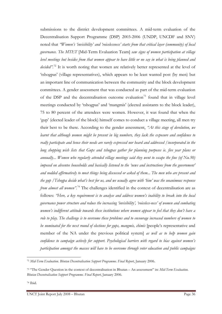submissions to the district development committees. A mid-term evaluation of the Decentralisation Support Programme (DSP) 2003-2006 (UNDP, UNCDF and SNV) noted that *"Women's 'invisibility' and 'voicelessness' starts from that critical layer (community) of local governance. The MTET* [Mid-Term Evaluation Team] *saw signs of women participation at village level meetings but besides from that women appear to have little or no say in what is being planned and*  decided".<sup>[72](#page-35-0)</sup> It is worth noting that women are relatively better represented at the level of 'tshogpas' (village representatives), which appears to be least wanted post (by men) but an important line of communication between the community and the block development committees. A gender assessment that was conducted as part of the mid-term evaluation of the DSP and the decentralisation outcome evaluation<sup>[73](#page-35-1)</sup> found that in village level meetings conducted by 'tshogpas' and 'mangmis' (elected assistants to the block leader), 75 to 80 percent of the attendees were women. However, it was found that when the 'gup' (elected leader of the block) himself comes to conduct a village meeting, all men try their best to be there. According to the gender assessment, *"At this stage of devolution, we learnt that although women might be present in big numbers, they lack the exposure and confidence to really participate and hence their needs are rarely expressed nor heard and addressed /incorporated in the long shopping wish lists that Gups and tshogpas gather for planning purposes ie. five year plans or annually... Women who regularly attended village meetings said they went to escape the fine (of Nu.50) imposed on absentee households and basically listened to the 'news and instructions from the government' and nodded affirmatively to most things being discussed or asked of them... The men who are present and the gup /Tshogpa decide what's best for us, and we usually agree with 'him' was the unanimous response from almost all women"*. [74](#page-35-2) The challenges identified in the context of decentralisation are as follows: *"Here, a key requirement is to analyse and address women's inability to break into the local governance power structure and reduce the increasing 'invisibility', 'voiceless-ness' of women and combating women's indifferent attitude towards these institutions where women appear to feel that they don't have a role to play. The challenge is to overcome these problems and to encourage increased numbers of women to be nominated for the next round of elections for gups, mangmis, chimis* [people's representative and member of the NA under the previous political system] *as well as to help women gain confidence to campaign actively for support. Psychological barriers with regard to bias against women's participation amongst the masses will have to be overcome through voter education and public campaigns* 

<span id="page-35-0"></span> <sup>72</sup> *Mid-Term Evaluation. Bhutan Decentralisation Support Programme. Final Report*, January 2006.

<span id="page-35-1"></span><sup>73 &</sup>quot;The Gender Question in the context of decentralisation in Bhutan – An assessment" in: *Mid-Term Evaluation. Bhutan Decentralisation Support Programme. Final Report*, January 2006.

<span id="page-35-2"></span><sup>74</sup> Ibid.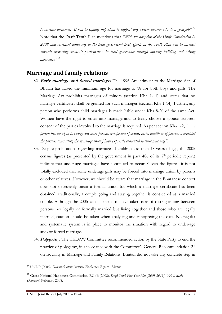*to increase awareness. It will be equally important to support any women in-service to do a good job"*. [75](#page-36-0) Note that the Draft Tenth Plan mentions that *"With the adoption of the Draft Constitution in 2008 and increased autonomy at the local government level, efforts in the Tenth Plan will be directed towards increasing women's participation in local governance through capacity building and raising awareness"*. [76](#page-36-1)

## **Marriage and family relations**

- 82. **Early marriage and forced marriage:** The 1996 Amendment to the Marriage Act of Bhutan has raised the minimum age for marriage to 18 for both boys and girls. The Marriage Act prohibits marriages of minors (section Kha 1-11) and states that no marriage certificates shall be granted for such marriages (section Kha 1-14). Further, any person who performs child marriages is made liable under Kha 8-20 of the same Act. Women have the right to enter into marriage and to freely choose a spouse. Express consent of the parties involved to the marriage is required. As per section Kha 1-2, *"… a person has the right to marry any other person, irrespective of status, caste, wealth or appearance, provided the persons contracting the marriage thereof have expressly consented to their marriage"*.
- 83. Despite prohibitions regarding marriage of children less than 18 years of age, the 2005 census figures (as presented by the government in para 486 of its  $7<sup>th</sup>$  periodic report) indicate that under-age marriages have continued to occur. Given the figures, it is not totally excluded that some underage girls may be forced into marriage union by parents or other relatives. However, we should be aware that marriage in the Bhutanese context does not necessarily mean a formal union for which a marriage certificate has been obtained; traditionally, a couple going and staying together is considered as a married couple. Although the 2005 census seems to have taken care of distinguishing between persons not legally or formally married but living together and those who are legally married, caution should be taken when analysing and interpreting the data. No regular and systematic system is in place to monitor the situation with regard to under-age and/or forced marriage.
- 84. **Polygamy:** The CEDAW Committee recommended action by the State Party to end the practice of polygamy, in accordance with the Committee's General Recommendation 21 on Equality in Marriage and Family Relations. Bhutan did not take any concrete step in

<span id="page-36-0"></span><sup>75</sup> UNDP (2006), *Decentralisation Outcome Evaluation Report - Bhutan*.

<span id="page-36-1"></span><sup>76</sup> Gross National Happiness Commission, RGoB (2008), *Draft Tenth Five Year Plan [2008-2013]. Vol. I: Main Document*, February 2008.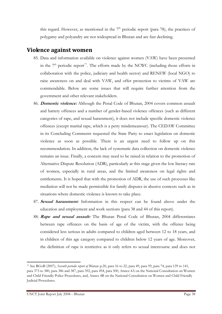this regard. However, as mentioned in the  $7<sup>th</sup>$  periodic report (para 78), the practices of polygamy and polyandry are not widespread in Bhutan and are fast declining.

## **Violence against women**

- 85. Data and information available on violence against women (VAW) have been presented in the  $7<sup>th</sup>$  periodic report<sup>[77](#page-37-0)</sup>. The efforts made by the NCWC (including those efforts in collaboration with the police, judiciary and health sector) and RENEW (local NGO) to raise awareness on and deal with VAW, and offer protection to victims of VAW are commendable. Below are some issues that will require further attention from the government and other relevant stakeholders.
- 86. **Domestic violence:** Although the Penal Code of Bhutan, 2004 covers common assault and battery offences and a number of gender-based violence offences (such as different categories of rape, and sexual harassment), it does not include specific domestic violence offences (except marital rape, which is a petty misdemeanour). The CEDAW Committee in its Concluding Comments requested the State Party to enact legislation on domestic violence as soon as possible. There is an urgent need to follow up on this recommendation. In addition, the lack of systematic data collection on domestic violence remains an issue. Finally, a concern may need to be raised in relation to the promotion of Alternative Dispute Resolution (ADR), particularly at this stage given the low literacy rate of women, especially in rural areas, and the limited awareness on legal rights and entitlements. It is hoped that with the promotion of ADR, the use of such processes like mediation will not be made permissible for family disputes in abusive contexts such as in situations where domestic violence is known to take place.
- 87. **Sexual harassment:** Information in this respect can be found above under the education and employment and work sections (para 38 and 44 of this report).
- 88. **Rape and sexual assault:** The Bhutan Penal Code of Bhutan, 2004 differentiates between rape offences on the basis of age of the victim, with the offence being considered less serious in adults compared to children aged between 12 to 18 years, and in children of this age category compared to children below 12 years of age. Moreover, the definition of rape is restrictive as it only refers to sexual intercourse and does not

<span id="page-37-0"></span><sup>77</sup> See RGoB (2007), *Seventh periodic report of Bhutan*: p.20, para 16 to 22, para 49, para 59, para 74, para 139 to 141, para 373 to 380, para 386 and 387, para 392, para 494, para 500, Annex 4A on the National Consultation on Women and Child Friendly Police Procedures, and, Annex 4B on the National Consultation on Women and Child Friendly Judicial Procedures.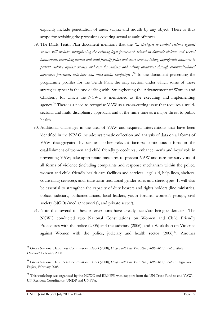explicitly include penetration of anus, vagina and mouth by any object. There is thus scope for revisiting the provisions covering sexual assault offences.

- 89. The Draft Tenth Plan document mentions that the *"... strategies to combat violence against women will include: strengthening the existing legal framework related to domestic violence and sexual harassment; promoting women and child-friendly police and court services; taking appropriate measures to prevent violence against women and care for victims; and raising awareness through community-based awareness programs, help-lines and mass-media campaigns"*. [78](#page-38-0) In the document presenting the programme profiles for the Tenth Plan, the only section under which some of these strategies appear is the one dealing with 'Strengthening the Advancement of Women and Children', for which the NCWC is mentioned as the executing and implementing agency.<sup>[79](#page-38-1)</sup> There is a need to recognise VAW as a cross-cutting issue that requires a multisectoral and multi-disciplinary approach, and at the same time as a major threat to public health.
- 90. Additional challenges in the area of VAW and required interventions that have been identified in the NPAG include: systematic collection and analysis of data on all forms of VAW disaggregated by sex and other relevant factors; continuous efforts in the establishment of women and child friendly procedures; enhance men's and boys' role in preventing VAW; take appropriate measures to prevent VAW and care for survivors of all forms of violence (including complaints and response mechanism within the police, women and child friendly health care facilities and services, legal aid, help lines, shelters, counselling services); and, transform traditional gender roles and stereotypes. It will also be essential to strengthen the capacity of duty bearers and rights holders (line ministries, police, judiciary, parliamentarians, local leaders, youth forums, women's groups, civil society (NGOs/media/networks), and private sector).
- 91. Note that several of these interventions have already been/are being undertaken. The NCWC conducted two National Consultations on Women and Child Friendly Procedures with the police (2005) and the judiciary (2006), and a Workshop on Violence against Women with the police, judiciary and health sector  $(2006)^{80}$  $(2006)^{80}$  $(2006)^{80}$ . Another

<span id="page-38-0"></span><sup>78</sup> Gross National Happiness Commission, RGoB (2008), *Draft Tenth Five Year Plan [2008-2013]. Vol. I: Main Document*, February 2008.

<span id="page-38-1"></span><sup>79</sup> Gross National Happiness Commission, RGoB (2008), *Draft Tenth Five Year Plan [2008-2013]. Vol. II: Programme Profiles*, February 2008.

<span id="page-38-2"></span><sup>&</sup>lt;sup>80</sup> This workshop was organised by the NCWC and RENEW with support from the UN Trust Fund to end VAW, UN Resident Coordinator, UNDP and UNFPA.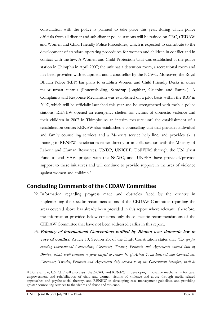consultation with the police is planned to take place this year, during which police officials from all district and sub-district police stations will be trained on CRC, CEDAW and Women and Child Friendly Police Procedures, which is expected to contribute to the development of standard operating procedures for women and children in conflict and in contact with the law. A Women and Child Protection Unit was established at the police station in Thimphu in April 2007; the unit has a detention room, a recreational room and has been provided with equipment and a counsellor by the NCWC. Moreover, the Royal Bhutan Police (RBP) has plans to establish Women and Child Friendly Desks in other major urban centres (Phuentsholing, Samdrup Jongkhar, Gelephu and Samtse). A Complaints and Response Mechanism was established on a pilot basis within the RBP in 2007, which will be officially launched this year and be strengthened with mobile police stations. RENEW opened an emergency shelter for victims of domestic violence and their children in 2007 in Thimphu as an interim measure until the establishment of a rehabilitation centre; RENEW also established a counselling unit that provides individual and family counselling services and a 24-hours service help line, and provides skills training to RENEW beneficiaries either directly or in collaboration with the Ministry of Labour and Human Resources. UNDP, UNICEF, UNIFEM through the UN Trust Fund to end VAW project with the NCWC, and, UNFPA have provided/provide support to these initiatives and will continue to provide support in the area of violence against women and children.<sup>[81](#page-39-0)</sup>

## **Concluding Comments of the CEDAW Committee**

- 92. Information regarding progress made and obstacles faced by the country in implementing the specific recommendations of the CEDAW Committee regarding the areas covered above has already been provided in this report where relevant. Therefore, the information provided below concerns only those specific recommendations of the CEDAW Committee that have not been addressed earlier in this report.
- 93. **Primacy of international Conventions ratified by Bhutan over domestic law in case of conflict:** Article 10, Section 25, of the Draft Constitution states that *"Except for existing International Conventions, Covenants, Treaties, Protocols and Agreements entered into by Bhutan, which shall continue in force subject to section 10 of Article 1, all International Conventions, Covenants, Treaties, Protocols and Agreements duly acceded to by the Government hereafter, shall be*

UNCT Joint Report July 2008 – Bhutan Page 40

<span id="page-39-0"></span><sup>&</sup>lt;sup>81</sup> For example, UNICEF will also assist the NCWC and RENEW in developing innovative mechanisms for care, empowerment and rehabilitation of child and women victims of violence and abuse through media related approaches and psycho-social therapy, and RENEW in developing case management guidelines and providing greater counselling services to the victims of abuse and violence.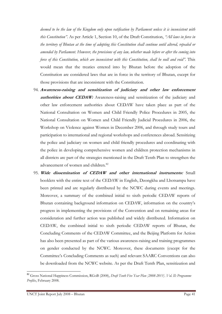*deemed to be the law of the Kingdom only upon ratification by Parliament unless it is inconsistent with this Constitution"*. As per Article 1, Section 10, of the Draft Constitution, *"All laws in force in the territory of Bhutan at the time of adopting this Constitution shall continue until altered, repealed or amended by Parliament. However, the provisions of any law, whether made before or after the coming into force of this Constitution, which are inconsistent with this Constitution, shall be null and void"*. This would mean that the treaties entered into by Bhutan before the adoption of the Constitution are considered laws that are in force in the territory of Bhutan, except for those provisions that are inconsistent with the Constitution.

- 94. **Awareness-raising and sensitization of judiciary and other law enforcement authorities about CEDAW:** Awareness-raising and sensitization of the judiciary and other law enforcement authorities about CEDAW have taken place as part of the National Consultation on Women and Child Friendly Police Procedures in 2005, the National Consultation on Women and Child Friendly Judicial Procedures in 2006, the Workshop on Violence against Women in December 2006, and through study tours and participation to international and regional workshops and conferences abroad. Sensitizing the police and judiciary on women and child friendly procedures and coordinating with the police in developing comprehensive women and children protection mechanisms in all districts are part of the strategies mentioned in the Draft Tenth Plan to strengthen the advancement of women and children.<sup>[82](#page-40-0)</sup>
- 95. **Wide dissemination of CEDAW and other international instruments:** Small booklets with the entire text of the CEDAW in English, Dzongkha and Lhotsampa have been printed and are regularly distributed by the NCWC during events and meetings. Moreover, a summary of the combined initial to sixth periodic CEDAW reports of Bhutan containing background information on CEDAW, information on the country's progress in implementing the provisions of the Convention and on remaining areas for consideration and further action was published and widely distributed. Information on CEDAW, the combined initial to sixth periodic CEDAW reports of Bhutan, the Concluding Comments of the CEDAW Committee, and the Beijing Platform for Action has also been presented as part of the various awareness-raising and training programmes on gender conducted by the NCWC. Moreover, these documents (except for the Committee's Concluding Comments as such) and relevant SAARC Conventions can also be downloaded from the NCWC website. As per the Draft Tenth Plan, sensitization and

<span id="page-40-0"></span><sup>82</sup> Gross National Happiness Commission, RGoB (2008), *Draft Tenth Five Year Plan [2008-2013]. Vol. II: Programme Profiles*, February 2008.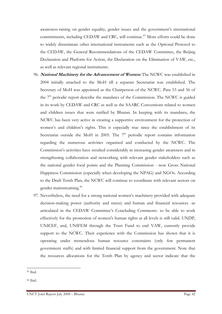awareness-raising on gender equality, gender issues and the government's international commitments, including CEDAW and CRC, will continue.<sup>[83](#page-41-0)</sup> More efforts could be done to widely disseminate other international instruments such as the Optional Protocol to the CEDAW, the General Recommendations of the CEDAW Committee, the Beijing Declaration and Platform for Action, the Declaration on the Elimination of VAW, etc., as well as relevant regional instruments.

- 96. **National Machinery for the Advancement of Women:** The NCWC was established in 2004 initially attached to the MoH till a separate Secretariat was established. The Secretary of MoH was appointed as the Chairperson of the NCWC. Para 53 and 56 of the 7<sup>th</sup> periodic report describe the mandates of the Commission. The NCWC is guided in its work by CEDAW and CRC as well as the SAARC Conventions related to women and children issues that were ratified by Bhutan. In keeping with its mandates, the NCWC has been very active in creating a supportive environment for the protection of women's and children's rights. This is especially true since the establishment of its Secretariat outside the MoH in 2005. The  $7<sup>th</sup>$  periodic report contains information regarding the numerous activities organised and conducted by the NCWC. The Commission's activities have resulted considerably in increasing gender awareness and in strengthening collaboration and networking with relevant gender stakeholders such as the national gender focal points and the Planning Commission - now Gross National Happiness Commission (especially when developing the NPAG) and NGOs. According to the Draft Tenth Plan, the NCWC will continue to coordinate with relevant sectors on gender mainstreaming.<sup>[84](#page-41-1)</sup>
- 97. Nevertheless, the need for a strong national women's machinery provided with adequate decision-making power (authority and status) and human and financial resources -as articulated in the CEDAW Committee's Concluding Comments- to be able to work effectively for the promotion of women's human rights at all levels is still valid. UNDP, UNICEF, and, UNIFEM through the Trust Fund to end VAW, currently provide support to the NCWC. Their experience with the Commission has shown that it is operating under tremendous human resource constraints (only few permanent government staffs) and with limited financial support from the government. Note that the resources allocations for the Tenth Plan by agency and sector indicate that the

<span id="page-41-0"></span><sup>83</sup> Ibid.

<span id="page-41-1"></span><sup>84</sup> Ibid.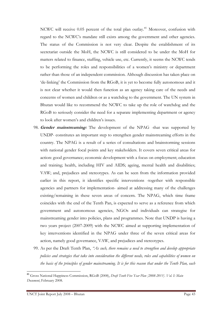NCWC will receive 0.05 percent of the total plan outlay.<sup>[85](#page-42-0)</sup> Moreover, confusion with regard to the NCWC's mandate still exists among the government and other agencies. The status of the Commission is not very clear. Despite the establishment of its secretariat outside the MoH, the NCWC is still considered to be under the MoH for matters related to finance, staffing, vehicle use, etc. Currently, it seems the NCWC tends to be performing the roles and responsibilities of a women's ministry or department rather than those of an independent commission. Although discussion has taken place on 'de-linking' the Commission from the RGoB, it is yet to become fully autonomous and it is not clear whether it would then function as an agency taking care of the needs and concerns of women and children or as a watchdog to the government. The UN system in Bhutan would like to recommend the NCWC to take up the role of watchdog and the RGoB to seriously consider the need for a separate implementing department or agency to look after women's and children's issues.

- 98. **Gender mainstreaming:** The development of the NPAG -that was supported by UNDP- constitutes an important step to strengthen gender mainstreaming efforts in the country. The NPAG is a result of a series of consultations and brainstorming sessions with national gender focal points and key stakeholders. It covers seven critical areas for action: good governance; economic development with a focus on employment; education and training; health, including HIV and AIDS; ageing, mental health and disabilities; VAW; and, prejudices and stereotypes. As can be seen from the information provided earlier in this report, it identifies specific interventions -together with responsible agencies and partners for implementation- aimed at addressing many of the challenges existing/remaining in these seven areas of concern. The NPAG, which time frame coincides with the end of the Tenth Pan, is expected to serve as a reference from which government and autonomous agencies, NGOs and individuals can strategise for mainstreaming gender into policies, plans and programmes. Note that UNDP is having a two years project (2007-2009) with the NCWC aimed at supporting implementation of key interventions identified in the NPAG under three of the seven critical areas for action, namely good governance, VAW, and prejudices and stereotypes.
- 99. As per the Draft Tenth Plan, *"As such, there remains a need to strengthen and develop appropriate policies and strategies that take into consideration the different needs, roles and capabilities of women on the basis of the principles of gender mainstreaming. It is for this reason that under the Tenth Plan, each*

<span id="page-42-0"></span><sup>85</sup> Gross National Happiness Commission, RGoB (2008), *Draft Tenth Five Year Plan [2008-2013]. Vol. I: Main Document*, February 2008.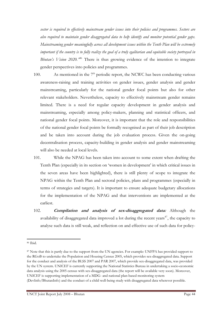*sector is required to effectively mainstream gender issues into their policies and programmes. Sectors are also required to maintain gender disaggregated data to help identify and monitor potential gender gaps. Mainstreaming gender meaningfully across all development issues within the Tenth Plan will be extremely important if the country is to fully realize the goal of a truly egalitarian and equitable society portrayed in Bhutan's Vision 2020.*<sup>[86](#page-43-0)</sup> There is thus growing evidence of the intention to integrate gender perspectives into policies and programmes.

- 100. As mentioned in the  $7<sup>th</sup>$  periodic report, the NCWC has been conducting various awareness-raising and training activities on gender issues, gender analysis and gender mainstreaming, particularly for the national gender focal points but also for other relevant stakeholders. Nevertheless, capacity to effectively mainstream gender remains limited. There is a need for regular capacity development in gender analysis and mainstreaming, especially among policy-makers, planning and statistical officers, and national gender focal points. Moreover, it is important that the role and responsibilities of the national gender focal points be formally recognised as part of their job description and be taken into account during the job evaluation process. Given the on-going decentralisation process, capacity-building in gender analysis and gender mainstreaming will also be needed at local levels.
- 101. While the NPAG has been taken into account to some extent when drafting the Tenth Plan (especially in its section on 'women in development' in which critical issues in the seven areas have been highlighted), there is still plenty of scope to integrate the NPAG within the Tenth Plan and sectoral policies, plans and programmes (especially in terms of strategies and targets). It is important to ensure adequate budgetary allocations for the implementation of the NPAG and that interventions are implemented at the earliest.
- 102. **Compilation and analysis of sex-disaggregated data:** Although the availability of disaggregated data improved a lot during the recent years<sup>[87](#page-43-1)</sup>, the capacity to analyse such data is still weak, and reflection on and effective use of such data for policy-

<span id="page-43-0"></span><sup>86</sup> Ibid.

<span id="page-43-1"></span><sup>87</sup> Note that this is partly due to the support from the UN agencies. For example: UNFPA has provided support to the RGoB to undertake the Population and Housing Census 2005, which provides sex-disaggregated data. Support for the conduct and analysis of the BLSS 2007 and PAR 2007, which provide sex-disaggregated data, was provided by the UN system. UNICEF is currently supporting the National Statistics Bureau in undertaking a socio-economic data analysis using the 2005 census with sex-disaggregated data (the report will be available very soon). Moreover, UNICEF is supporting implementation of a MDG- and national plan-based monitoring system

<sup>(</sup>DevInfo/BhutanInfo) and the conduct of a child well-being study with disaggregated data wherever possible.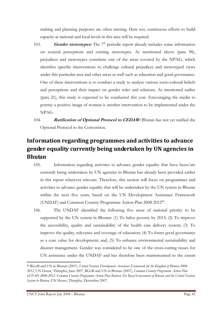making and planning purposes are often missing. Here too, continuous efforts to build capacity at national and local levels in this area will be required.

- 103. **Gender stereotypes:** The 7<sup>th</sup> periodic report already includes some information on societal perceptions and existing stereotypes. As mentioned above (para 98), prejudices and stereotypes constitute one of the areas covered by the NPAG, which identifies specific interventions to challenge cultural prejudices and stereotyped views under this particular area and other areas as well such as education and good governance. One of these interventions is to conduct a study to analyse various socio-cultural beliefs and perceptions and their impact on gender roles and relations. As mentioned earlier (para 21), this study is expected to be conducted this year. Encouraging the media to portray a positive image of women is another intervention to be implemented under the NPAG.
- 104. **Ratification of Optional Protocol to CEDAW:** Bhutan has not yet ratified the Optional Protocol to the Convention.

# **Information regarding programmes and activities to advance gender equality currently being undertaken by UN agencies in Bhutan**

- 105. Information regarding activities to advance gender equality that have been/are currently being undertaken by UN agencies in Bhutan has already been provided earlier in this report wherever relevant. Therefore, this section will focus on programmes and activities to advance gender equality that will be undertaken by the UN system in Bhutan within the next five years, based on the UN Development Assistance Framework (UNDAF) and Common Country Programme Action Plan 2008-2012<sup>[88](#page-44-0)</sup>.
- 106. The UNDAF identified the following five areas of national priority to be supported by the UN system in Bhutan: (1) To halve poverty by 2013; (2) To improve the accessibility, quality and sustainability of the health care delivery system; (3) To improve the quality, relevance and coverage of education; (4) To foster good governance as a core value for development; and, (5) To enhance environmental sustainability and disaster management. Gender was considered to be one of the cross-cutting issues for UN assistance under the UNDAF and has therefore been mainstreamed to the extent

<span id="page-44-0"></span> 88 RGoB and UN in Bhutan (2007), *United Nations Development Assistance Framework for the Kingdom of Bhutan 2008- 2012*, UN House, Thimphu, June 2007. RGoB and UN in Bhutan (2007), *Common Country Programme Action Plan (cCPAP) 2008-2012. Common Country Programme Action Plan Between The Royal Government of Bhutan and the United Nations System in Bhutan*, UN House, Thimphu, December 2007.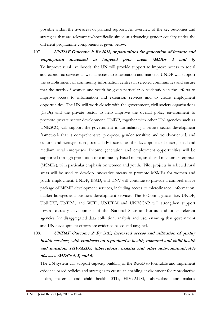possible within the five areas of planned support. An overview of the key outcomes and strategies that are relevant to/specifically aimed at advancing gender equality under the different programme components is given below.

107. **UNDAF Outcome 1: By 2012, opportunities for generation of income and employment increased in targeted poor areas (MDGs 1 and 8)** To improve rural livelihoods, the UN will provide support to improve access to social and economic services as well as access to information and markets. UNDP will support the establishment of community information centres in selected communities and ensure that the needs of women and youth be given particular consideration in the efforts to improve access to information and extension services and to create employment opportunities. The UN will work closely with the government, civil society organisations (CSOs) and the private sector to help improve the overall policy environment to promote private sector development. UNDP, together with other UN agencies such as UNESCO, will support the government in formulating a private sector development framework that is comprehensive, pro-poor, gender sensitive and youth-oriented, and culture- and heritage-based, particularly focused on the development of micro, small and medium rural enterprises. Income generation and employment opportunities will be supported through promotion of community-based micro, small and medium enterprises (MSMEs), with particular emphasis on women and youth. Pilot projects in selected rural areas will be used to develop innovative means to promote MSMEs for women and youth employment. UNDP, IFAD, and UNV will continue to provide a comprehensive package of MSME development services, including access to microfinance, information, market linkages and business development services. The ExCom agencies (i.e. UNDP, UNICEF, UNFPA, and WFP), UNIFEM and UNESCAP will strengthen support toward capacity development of the National Statistics Bureau and other relevant agencies for disaggregated data collection, analysis and use, ensuring that government and UN development efforts are evidence-based and targeted.

108. **UNDAF Outcome 2: By 2012, increased access and utilization of quality health services, with emphasis on reproductive health, maternal and child health and nutrition, HIV/AIDS, tuberculosis, malaria and other non-communicable diseases (MDGs 4, 5, and 6)**

The UN system will support capacity building of the RGoB to formulate and implement evidence based policies and strategies to create an enabling environment for reproductive health, maternal and child health, STIs, HIV/AIDS, tuberculosis and malaria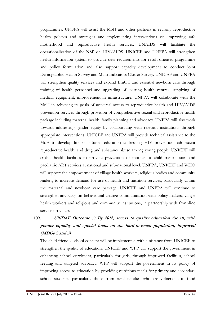programmes. UNFPA will assist the MoH and other partners in revising reproductive health policies and strategies and implementing interventions on improving safe motherhood and reproductive health services. UNAIDS will facilitate the operationalization of the NSP on HIV/AIDS. UNICEF and UNFPA will strengthen health information system to provide data requirements for result oriented programme and policy formulation and also support capacity development to conduct joint Demographic Health Survey and Multi Indicators Cluster Survey. UNICEF and UNFPA will strengthen quality services and expand EmOC and essential newborn care through training of health personnel and upgrading of existing health centres, supplying of medical equipment, improvement in infrastructure. UNFPA will collaborate with the MoH in achieving its goals of universal access to reproductive health and HIV/AIDS prevention services through provision of comprehensive sexual and reproductive health package including maternal health, family planning and advocacy. UNFPA will also work towards addressing gender equity by collaborating with relevant institutions through appropriate interventions. UNICEF and UNFPA will provide technical assistance to the MoE to develop life skills-based education addressing HIV prevention, adolescent reproductive health, and drug and substance abuse among young people. UNICEF will enable health facilities to provide prevention of mother- to-child transmission and paediatric ART services at national and sub-national level. UNFPA, UNICEF and WHO will support the empowerment of village health workers, religious bodies and community leaders, to increase demand for use of health and nutrition services, particularly within the maternal and newborn care package. UNICEF and UNFPA will continue to strengthen advocacy on behavioural change communication with policy makers, village health workers and religious and community institutions, in partnership with front-line service providers.

## 109. **UNDAF Outcome 3: By 2012, access to quality education for all, with gender equality and special focus on the hard-to-reach population, improved (MDGs 2 and 3)**

The child friendly school concept will be implemented with assistance from UNICEF to strengthen the quality of education. UNICEF and WFP will support the government in enhancing school enrolment, particularly for girls, through improved facilities, school feeding and targeted advocacy: WFP will support the government in its policy of improving access to education by providing nutritious meals for primary and secondary school students, particularly those from rural families who are vulnerable to food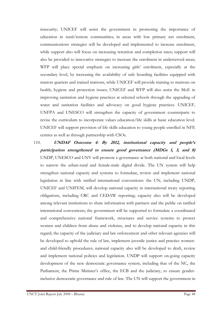insecurity; UNICEF will assist the government in promoting the importance of education in rural/remote communities; in areas with low primary net enrolment, communications strategies will be developed and implemented to increase enrolment, while support also will focus on increasing retention and completion rates; support will also be provided to innovative strategies to increase the enrolment in underserved areas; WFP will place special emphasis on increasing girls' enrolment, especially at the secondary level, by increasing the availability of safe boarding facilities equipped with matron quarters and trained matrons, while UNICEF will provide training to matrons on health, hygiene and protection issues; UNICEF and WFP will also assist the MoE in improving sanitation and hygiene practices at selected schools through the upgrading of water and sanitation facilities and advocacy on good hygiene practices. UNICEF, UNFPA and UNESCO will strengthen the capacity of government counterparts to revise the curriculum to incorporate values education/life skills at basic education level. UNICEF will support provision of life skills education to young people enrolled in NFE centres as well as through partnership with CSOs.

110. **UNDAF Outcome 4: By 2012, institutional capacity and people's participation strengthened to ensure good governance (MDGs 1, 3, and 8)** UNDP, UNESCO and UNV will promote e-governance at both national and local levels to narrow the urban-rural and female-male digital divide. The UN system will help strengthen national capacity and systems to formulate, review and implement national legislation in line with ratified international conventions: the UN, including UNDP, UNICEF and UNIFEM, will develop national capacity in international treaty reporting obligations, including CRC and CEDAW reporting; capacity also will be developed among relevant institutions to share information with partners and the public on ratified international conventions; the government will be supported to formulate a coordinated and comprehensive national framework, structures and service systems to protect women and children from abuse and violence, and to develop national capacity in this regard; the capacity of the judiciary and law enforcement and other relevant agencies will be developed to uphold the rule of law, implement juvenile justice and practice womenand child-friendly procedures; national capacity also will be developed to draft, review and implement national policies and legislation. UNDP will support on-going capacity development of the new democratic governance system, including that of the NC, the Parliament, the Prime Minister's office, the ECB and the judiciary, to ensure genderinclusive democratic governance and rule of law. The UN will support the government in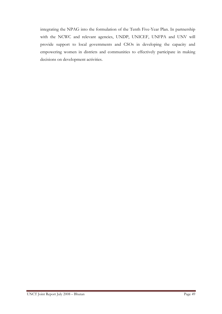integrating the NPAG into the formulation of the Tenth Five-Year Plan. In partnership with the NCWC and relevant agencies, UNDP, UNICEF, UNFPA and UNV will provide support to local governments and CSOs in developing the capacity and empowering women in districts and communities to effectively participate in making decisions on development activities.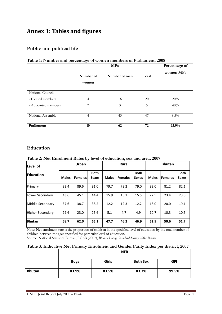## **Annex 1: Tables and figures**

### **Public and political life**

<span id="page-49-0"></span>

|                     |                    | $\sim$<br><b>MPs</b> |       |           |  |  |  |  |
|---------------------|--------------------|----------------------|-------|-----------|--|--|--|--|
|                     | Number of<br>women | Number of men        | Total | women MPs |  |  |  |  |
| National Council    |                    |                      |       |           |  |  |  |  |
| - Elected members   | 4                  | 16                   | 20    | 20%       |  |  |  |  |
| - Appointed members | 2                  | 3                    | 5     | 40%       |  |  |  |  |
| National Assembly   | $\overline{4}$     | 43                   | 47    | $8.5\%$   |  |  |  |  |
| Parliament          | 10                 | 62                   | 72    | 13.9%     |  |  |  |  |

#### **Table 1: Number and percentage of women members of Parliament, 2008**

#### **Education**

#### <span id="page-49-1"></span>**Table 2: Net Enrolment Rates by level of education, sex and area, 2007**

| Level of                |              | <b>Urban</b>   |                             |              | <b>Rural</b>   |                             |              | <b>Bhutan</b>  |                             |
|-------------------------|--------------|----------------|-----------------------------|--------------|----------------|-----------------------------|--------------|----------------|-----------------------------|
| Education               | <b>Males</b> | <b>Females</b> | <b>Both</b><br><b>Sexes</b> | <b>Males</b> | <b>Females</b> | <b>Both</b><br><b>Sexes</b> | <b>Males</b> | <b>Females</b> | <b>Both</b><br><b>Sexes</b> |
| Primary                 | 92.4         | 89.6           | 91.0                        | 79.7         | 78.2           | 79.0                        | 83.0         | 81.2           | 82.1                        |
| Lower Secondary         | 43.6         | 45.1           | 44.4                        | 15.9         | 15.1           | 15.5                        | 22.5         | 23.4           | 23.0                        |
| Middle Secondary        | 37.6         | 38.7           | 38.2                        | 12.2         | 12.3           | 12.2                        | 18.0         | 20.0           | 19.1                        |
| <b>Higher Secondary</b> | 29.6         | 23.0           | 25.6                        | 5.1          | 4.7            | 4.9                         | 10.7         | 10.3           | 10.5                        |
| <b>Bhutan</b>           | 68.7         | 62.0           | 65.1                        | 47.7         | 46.2           | 46.9                        | 52.9         | 50.6           | 51.7                        |

Note: Net enrolment rate is the proportion of children in the specified level of education by the total number of children between the ages specified for particular level of education.

Source: National Statistics Bureau, RGoB (2007), *Bhutan Living Standard Survey 2007 Report*.

#### **Table 3: Indicative Net Primary Enrolment and Gender Parity Index per district, 2007**

<span id="page-49-2"></span>

|               | <b>NER</b>  |       |                 |            |  |  |  |  |
|---------------|-------------|-------|-----------------|------------|--|--|--|--|
|               | <b>Boys</b> | Girls | <b>Both Sex</b> | <b>GPI</b> |  |  |  |  |
| <b>Bhutan</b> | 83.9%       | 83.5% | 83.7%           | 99.5%      |  |  |  |  |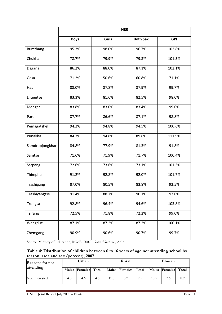|                 | <b>NER</b>  |              |                 |            |  |  |  |  |
|-----------------|-------------|--------------|-----------------|------------|--|--|--|--|
|                 | <b>Boys</b> | <b>Girls</b> | <b>Both Sex</b> | <b>GPI</b> |  |  |  |  |
| Bumthang        | 95.3%       | 98.0%        | 96.7%           | 102.8%     |  |  |  |  |
| Chukha          | 78.7%       | 79.9%        | 79.3%           | 101.5%     |  |  |  |  |
| Dagana          | 86.2%       | 88.0%        | 87.1%           | 102.1%     |  |  |  |  |
| Gasa            | 71.2%       | 50.6%        | 60.8%           | 71.1%      |  |  |  |  |
| Haa             | 88.0%       | 87.8%        | 87.9%           | 99.7%      |  |  |  |  |
| Lhuentse        | 83.3%       | 81.6%        | 82.5%           | 98.0%      |  |  |  |  |
| Mongar          | 83.8%       | 83.0%        | 83.4%           | 99.0%      |  |  |  |  |
| Paro            | 87.7%       | 86.6%        | 87.1%           | 98.8%      |  |  |  |  |
| Pemagatshel     | 94.2%       | 94.8%        | 94.5%           | 100.6%     |  |  |  |  |
| Punakha         | 84.7%       | 94.8%        | 89.6%           | 111.9%     |  |  |  |  |
| Samdrupjongkhar | 84.8%       | 77.9%        | 81.3%           | 91.8%      |  |  |  |  |
| Samtse          | 71.6%       | 71.9%        | 71.7%           | 100.4%     |  |  |  |  |
| Sarpang         | 72.6%       | 73.6%        | 73.1%           | 101.3%     |  |  |  |  |
| Thimphu         | 91.2%       | 92.8%        | 92.0%           | 101.7%     |  |  |  |  |
| Trashigang      | 87.0%       | 80.5%        | 83.8%           | 92.5%      |  |  |  |  |
| Trashiyangtse   | 91.4%       | 88.7%        | 90.1%           | 97.0%      |  |  |  |  |
| Trongsa         | 92.8%       | 96.4%        | 94.6%           | 103.8%     |  |  |  |  |
| <b>Tsirang</b>  | 72.5%       | 71.8%        | 72.2%           | 99.0%      |  |  |  |  |
| Wangdue         | 87.1%       | 87.2%        | 87.2%           | 100.1%     |  |  |  |  |
| Zhemgang        | 90.9%       | 90.6%        | 90.7%           | 99.7%      |  |  |  |  |

Source: Ministry of Education, RGoB (2007), *General Statistics, 2007*.

#### <span id="page-50-0"></span>**Table 4: Distribution of children between 6 to 16 years of age not attending school by reason, area and sex (percent), 2007**

| <b>Reasons</b> for not |     | Urban               |     |      | Rural               |     |      | <b>Bhutan</b> |       |  |
|------------------------|-----|---------------------|-----|------|---------------------|-----|------|---------------|-------|--|
| attending              |     | Males Females Total |     |      | Males Females Total |     |      | Males Females | Total |  |
| Not interested         | 4.3 | 4.6                 | 4.5 | 11.3 | 8.2                 | 9.5 | 10.7 | 7.6           |       |  |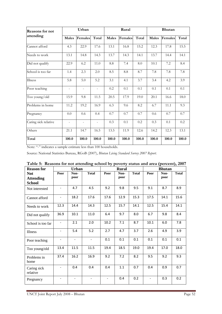| <b>Reasons</b> for not | Urban                    |                          |                          | Rural |         |       | <b>Bhutan</b> |         |       |
|------------------------|--------------------------|--------------------------|--------------------------|-------|---------|-------|---------------|---------|-------|
| attending              | <b>Males</b>             | Females                  | Total                    | Males | Females | Total | Males         | Females | Total |
| Cannot afford          | 4.3                      | 22.9                     | 17.6                     | 13.1  | 16.8    | 15.2  | 12.3          | 17.8    | 15.5  |
| Needs to work          | 13.1                     | 14.8                     | 14.3                     | 13.7  | 14.3    | 14.1  | 13.7          | 14.4    | 14.1  |
| Did not qualify        | 22.9                     | 6.2                      | 11.0                     | 8.8   | 7.4     | 8.0   | 10.1          | 7.2     | 8.4   |
| School is too far      | 1.4                      | 2.3                      | 2.0                      | 8.5   | 8.8     | 8.7   | 7.8           | 7.8     | 7.8   |
| Illness                | 5.8                      | 5.0                      | 5.2                      | 3.1   | 4.1     | 3.7   | 3.4           | 4.2     | 3.9   |
| Poor teaching          | $\overline{\phantom{a}}$ | $\overline{\phantom{a}}$ | $\overline{\phantom{a}}$ | 0.2   | 0.1     | 0.1   | 0.1           | 0.1     | 0.1   |
| Too young/old          | 15.9                     | 9.8                      | 11.5                     | 20.5  | 17.9    | 19.0  | 20.1          | 16.6    | 18.0  |
| Problems in home       | 11.2                     | 19.2                     | 16.9                     | 6.3   | 9.6     | 8.2   | 6.7           | 11.1    | 9.3   |
| Pregnancy              | 0.0                      | 0.6                      | 0.4                      | 0.7   | 0.7     | 0.7   | 0.6           | 0.7     | 0.7   |
| Caring sick relative   | $\overline{\phantom{a}}$ | $\overline{\phantom{a}}$ | $\bar{a}$                | 0.3   | 0.1     | 0.2   | 0.3           | 0.1     | 0.2   |
| Others                 | 21.1                     | 14.7                     | 16.5                     | 13.5  | 11.9    | 12.6  | 14.2          | 12.3    | 13.1  |
| Total                  | 100.0                    | 100.0                    | 100.0                    | 100.0 | 100.0   | 100.0 | 100.0         | 100.0   | 100.0 |

Note: "-" indicates a sample estimate less than 100 households.

<span id="page-51-0"></span>

| radic $\sigma$ . Reasons for not attending sensor by poverty status and area (percent), 2007<br><b>Reason for</b> |                          | <b>Urban</b>             |                |                          | <b>Rural</b> |              | <b>Bhutan</b>            |      |              |  |
|-------------------------------------------------------------------------------------------------------------------|--------------------------|--------------------------|----------------|--------------------------|--------------|--------------|--------------------------|------|--------------|--|
| <b>Not</b>                                                                                                        | Poor                     | Non-                     | <b>Total</b>   | Poor                     | Non-         | <b>Total</b> | Poor                     | Non- | <b>Total</b> |  |
| <b>Attending</b>                                                                                                  |                          | poor                     |                |                          | poor         |              |                          | poor |              |  |
| <b>School</b>                                                                                                     |                          |                          |                |                          |              |              |                          |      |              |  |
| Not interested                                                                                                    | $\overline{\phantom{a}}$ | 4.7                      | 4.5            | 9.2                      | 9.8          | 9.5          | 9.1                      | 8.7  | 8.9          |  |
| Cannot afford                                                                                                     |                          | 18.2                     | 17.6           | 17.6                     | 12.9         | 15.3         | 17.5                     | 14.1 | 15.6         |  |
| Needs to work                                                                                                     | 12.3                     | 14.4                     | 14.3           | 12.5                     | 15.7         | 14.1         | 12.5                     | 15.4 | 14.1         |  |
| Did not qualify                                                                                                   | 36.9                     | 10.1                     | 11.0           | 6.4                      | 9.7          | 8.0          | 6.7                      | 9.8  | 8.4          |  |
| School is too far                                                                                                 |                          | 2.1                      | 2.0            | 10.2                     | 7.1          | 8.7          | 10.1                     | 6.0  | 7.8          |  |
| <b>Illness</b>                                                                                                    |                          | 5.4                      | 5.2            | 2.7                      | 4.7          | 3.7          | 2.6                      | 4.9  | 3.9          |  |
| Poor teaching                                                                                                     | $\overline{\phantom{a}}$ | $\qquad \qquad -$        | $\blacksquare$ | 0.1                      | 0.1          | 0.1          | 0.1                      | 0.1  | 0.1          |  |
| Too young/old                                                                                                     | 13.4                     | 11.5                     | 11.5           | 19.4                     | 18.5         | 19.0         | 19.4                     | 17.0 | 18.0         |  |
| Problems in<br>home                                                                                               | 37.4                     | 16.2                     | 16.9           | 9.2                      | 7.2          | 8.2          | 9.5                      | 9.2  | 9.3          |  |
| Caring sick<br>relative                                                                                           |                          | 0.4                      | 0.4            | 0.4                      | 1.1          | 0.7          | 0.4                      | 0.9  | 0.7          |  |
| Pregnancy                                                                                                         | $\qquad \qquad -$        | $\overline{\phantom{0}}$ | $\blacksquare$ | $\overline{\phantom{a}}$ | 0.4          | 0.2          | $\overline{\phantom{a}}$ | 0.3  | 0.2          |  |

|  | Table 5: Reasons for not attending school by poverty status and area (percent), 2007 |  |  |  |
|--|--------------------------------------------------------------------------------------|--|--|--|
|--|--------------------------------------------------------------------------------------|--|--|--|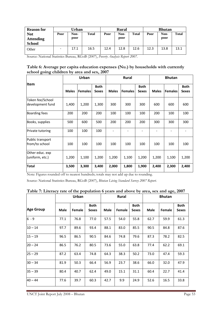| <b>Reason for</b>                               |                          | Urban        |              |      | <b>Rural</b> |              |      | <b>Bhutan</b> |       |
|-------------------------------------------------|--------------------------|--------------|--------------|------|--------------|--------------|------|---------------|-------|
| <b>Not</b><br><b>Attending</b><br><b>School</b> | Poor                     | Non-<br>poor | <b>Total</b> | Poor | Non-<br>poor | <b>Total</b> | Poor | Non-<br>poor  | Total |
| Other                                           | $\overline{\phantom{a}}$ | 17.1         | 16.5         | 12.4 | 12.8         | 12.6         | 12.3 | 13.8          | 13.1  |

Source: National Statistics Bureau, RGoB (2007), *Poverty Analysis Report 2007*.

<span id="page-52-0"></span>

| Table 6: Average per capita education expenses (Nu.) by households with currently |  |
|-----------------------------------------------------------------------------------|--|
| school going children by area and sex, 2007                                       |  |

|                                      | Urban        |                | <b>Rural</b>                |              |                | <b>Bhutan</b>               |              |                |                             |
|--------------------------------------|--------------|----------------|-----------------------------|--------------|----------------|-----------------------------|--------------|----------------|-----------------------------|
| <b>Item</b>                          | <b>Males</b> | <b>Females</b> | <b>Both</b><br><b>Sexes</b> | <b>Males</b> | <b>Females</b> | <b>Both</b><br><b>Sexes</b> | <b>Males</b> | <b>Females</b> | <b>Both</b><br><b>Sexes</b> |
| Token fee/School<br>development fund | 1,400        | 1,200          | 1,300                       | 300          | 300            | 300                         | 600          | 600            | 600                         |
| <b>Boarding fees</b>                 | 200          | 200            | 200                         | 100          | 100            | 100                         | 200          | 100            | 100                         |
| Books, supplies                      | 500          | 600            | 500                         | 200          | 200            | 200                         | 300          | 300            | 300                         |
| <b>Private tutoring</b>              | 100          | 100            | 100                         |              |                |                             |              |                |                             |
| Public transport<br>from/to school   | 100          | 100            | 100                         | 100          | 100            | 100                         | 100          | 100            | 100                         |
| Other educ. exp<br>(uniform, etc.)   | 1,200        | 1,100          | 1,200                       | 1,200        | 1,100          | 1,200                       | 1,200        | 1,100          | 1,200                       |
| <b>Total</b>                         | 3,500        | 3,300          | 3,400                       | 2,000        | 1,800          | 1,900                       | 2,400        | 2,300          | 2,400                       |

Note: Figures rounded off to nearest hundreds; totals may not add up due to rounding.

|  |  | Table 7: Literacy rate of the population 6 years and above by area, sex and age, 2007 |
|--|--|---------------------------------------------------------------------------------------|
|  |  |                                                                                       |

<span id="page-52-1"></span>

|                  |             | Urban  |                             |      | <b>Rural</b> |                             |      | <b>Bhutan</b> |                             |
|------------------|-------------|--------|-----------------------------|------|--------------|-----------------------------|------|---------------|-----------------------------|
| <b>Age Group</b> | <b>Male</b> | Female | <b>Both</b><br><b>Sexes</b> | Male | Female       | <b>Both</b><br><b>Sexes</b> | Male | Female        | <b>Both</b><br><b>Sexes</b> |
| $6 - 9$          | 77.1        | 76.8   | 77.0                        | 57.5 | 54.0         | 55.8                        | 62.7 | 59.9          | 61.3                        |
| $10 - 14$        | 97.7        | 89.6   | 93.4                        | 88.1 | 83.0         | 85.5                        | 90.5 | 84.8          | 87.6                        |
| $15 - 19$        | 96.5        | 86.5   | 90.5                        | 84.6 | 74.8         | 79.6                        | 87.3 | 78.2          | 82.5                        |
| $ 20 - 24 $      | 86.5        | 76.2   | 80.5                        | 73.6 | 55.0         | 63.8                        | 77.4 | 62.2          | 69.1                        |
| $25 - 29$        | 87.2        | 63.4   | 74.8                        | 64.3 | 38.3         | 50.2                        | 73.0 | 47.4          | 59.3                        |
| $30 - 34$        | 81.9        | 50.3   | 66.4                        | 56.9 | 23.7         | 38.6                        | 66.0 | 32.0          | 47.9                        |
| $35 - 39$        | 80.4        | 40.7   | 62.4                        | 49.0 | 15.1         | 31.1                        | 60.4 | 22.7          | 41.4                        |
| $40 - 44$        | 77.6        | 39.7   | 60.3                        | 42.7 | 9.9          | 24.9                        | 52.6 | 16.5          | 33.8                        |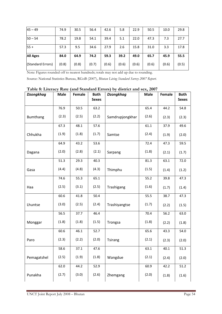| $45 - 49$         | 74.9  | 30.5  | 56.4  | 42.6  | 5.8   | 22.9  | 50.5  | 10.0  | 29.8  |
|-------------------|-------|-------|-------|-------|-------|-------|-------|-------|-------|
| $50 - 54$         | 78.2  | 19.8  | 54.1  | 39.4  | 5.1   | 22.0  | 47.3  | 7.3   | 27.7  |
| $155 +$           | 57.3  | 9.5   | 34.6  | 27.9  | 2.6   | 15.8  | 31.0  | 3.3   | 17.8  |
| <b>All Ages</b>   | 84.0  | 64.9  | 74.2  | 59.3  | 39.2  | 49.0  | 65.7  | 45.9  | 55.5  |
| (Standard Errors) | (0.8) | (0.8) | (0.7) | (0.6) | (0.6) | (0.6) | (0.6) | (0.6) | (0.5) |

Note: Figures rounded off to nearest hundreds; totals may not add up due to rounding.

| Table 8: Literacy Rate (and Standard Errors) by district and sex, 2007 |
|------------------------------------------------------------------------|
|------------------------------------------------------------------------|

<span id="page-53-0"></span>

| <b>Dzongkhag</b> | <b>Male</b> | Female | <b>Both</b>  | <b>Dzongkhag</b> | <b>Male</b> | Female | <b>Both</b>  |
|------------------|-------------|--------|--------------|------------------|-------------|--------|--------------|
|                  |             |        | <b>Sexes</b> |                  |             |        | <b>Sexes</b> |
|                  | 76.9        | 50.5   | 63.2         |                  | 65.4        | 44.2   | 54.8         |
| Bumthang         | (2.3)       | (2.5)  | (2.2)        | Samdrupjongkhar  | (2.6)       | (2.3)  | (2.3)        |
|                  | 67.3        | 48.1   | 57.6         |                  | 61.1        | 37.9   | 49.6         |
| Chhukha          | (1.9)       | (1.8)  | (1.7)        | Samtse           | (2.4)       | (1.9)  | (2.0)        |
|                  | 64.9        | 43.2   | 53.6         |                  | 72.4        | 47.3   | 59.5         |
| Dagana           | (2.0)       | (2.8)  | (2.1)        | Sarpang          | (1.8)       | (2.1)  | (1.7)        |
|                  | 51.3        | 29.3   | 40.3         |                  | 81.3        | 63.1   | 72.0         |
| Gasa             | (4.4)       | (4.8)  | (4.3)        | Thimphu          | (1.5)       | (1.4)  | (1.2)        |
|                  | 74.6        | 55.3   | 65.1         |                  | 55.2        | 39.8   | 47.3         |
| Haa              | (2.5)       | (3.1)  | (2.5)        | Trashigang       | (1.6)       | (1.7)  | (1.4)        |
|                  | 60.6        | 41.8   | 50.4         |                  | 55.5        | 38.7   | 47.3         |
| Lhuntse          | (3.0)       | (2.5)  | (2.4)        | Trashiyangtse    | (1.7)       | (2.2)  | (1.5)        |
|                  | 56.5        | 37.7   | 46.4         |                  | 70.4        | 56.2   | 63.0         |
| Monggar          | (1.8)       | (1.8)  | (1.5)        | Trongsa          | (1.8)       | (2.2)  | (1.8)        |
|                  | 60.6        | 46.1   | 52.7         |                  | 65.6        | 43.3   | 54.0         |
| Paro             | (2.3)       | (2.2)  | (2.0)        | <b>Tsirang</b>   | (2.1)       | (2.3)  | (2.0)        |
|                  | 58.6        | 37.1   | 47.6         |                  | 63.1        | 40.1   | 51.3         |
| Pemagatshel      | (2.5)       | (1.9)  | (1.8)        | Wangdue          | (2.1)       | (2.4)  | (2.0)        |
|                  | 62.0        | 44.2   | 52.9         |                  | 60.9        | 42.2   | 51.2         |
| Punakha          | (2.7)       | (3.0)  | (2.6)        | Zhemgang         | (2.0)       | (1.8)  | (1.6)        |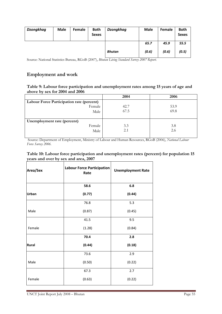| <b>Dzongkhag</b> | <b>Male</b> | Female | <b>Both</b><br><b>Sexes</b> | <b>Dzongkhag</b> | <b>Male</b> | Female | <b>Both</b><br><b>Sexes</b> |
|------------------|-------------|--------|-----------------------------|------------------|-------------|--------|-----------------------------|
|                  |             |        |                             |                  | 65.7        | 45.9   | 55.5                        |
|                  |             |        |                             | Bhutan           | (0.6)       | (0.6)  | (0.5)                       |

Source: National Statistics Bureau, RGoB (2007), *Bhutan Living Standard Survey 2007 Report*.

#### **Employment and work**

#### <span id="page-54-0"></span>**Table 9: Labour force participation and unemployment rates among 15 years of age and above by sex for 2004 and 2006**

|                                           | 2004 | 2006 |
|-------------------------------------------|------|------|
| Labour Force Participation rate (percent) |      |      |
| Female                                    | 42.7 | 53.9 |
| Male                                      | 67.5 | 69.8 |
| Unemployment rate (percent)               |      |      |
| Female                                    | 3.3  | 3.8  |
| Male                                      | 2.1  | 2.6  |

 Source: Department of Employment, Ministry of Labour and Human Resources, RGoB (2006), *National Labour Force Survey 2006*.

#### **Table 10: Labour force participation and unemployment rates (percent) for population 15 years and over by sex and area, 2007**

| <b>Area/Sex</b> | <b>Labour Force Participation</b><br>Rate | <b>Unemployment Rate</b> |
|-----------------|-------------------------------------------|--------------------------|
|                 | 58.6                                      | 6.8                      |
| <b>Urban</b>    | (0.77)                                    | (0.44)                   |
|                 | 76.8                                      | 5.3                      |
| Male            | (0.87)                                    | (0.45)                   |
|                 | 41.5                                      | 9.5                      |
| Female          | (1.28)                                    | (0.84)                   |
|                 | 70.4                                      | 2.8                      |
| Rural           | (0.44)                                    | (0.18)                   |
|                 | 73.6                                      | 2.9                      |
| Male            | (0.50)                                    | (0.22)                   |
|                 | 67.3                                      | 2.7                      |
| Female          | (0.63)                                    | (0.22)                   |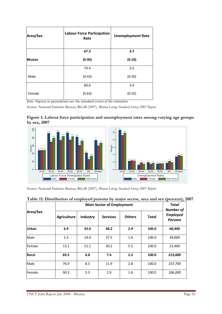| <b>Area/Sex</b> | <b>Labour Force Participation</b><br>Rate | <b>Unemployment Rate</b> |
|-----------------|-------------------------------------------|--------------------------|
|                 | 67.3                                      | 3.7                      |
| <b>Bhutan</b>   | (0.40)                                    | (0.18)                   |
|                 | 74.4                                      | 3.5                      |
| Male            | (0.43)                                    | (0.20)                   |
|                 | 60.6                                      | 3.9                      |
| Female          | (0.63)                                    | (0.25)                   |

Note: Figures in parentheses are the standard errors of the estimates.

Source: National Statistics Bureau, RGoB (2007), *Bhutan Living Standard Survey 2007 Report*.

#### <span id="page-55-0"></span>**Figure 1: Labour force participation and unemployment rates among varying age groups by sex, 2007**



Source: National Statistics Bureau, RGoB (2007), *Bhutan Living Standard Survey 2007 Report*.

| Area/Sex      |                    |          | <b>Main Sector of Employment</b> |               |              | <b>VE</b><br>,,,<br><b>Total</b><br><b>Number of</b> |  |
|---------------|--------------------|----------|----------------------------------|---------------|--------------|------------------------------------------------------|--|
|               | <b>Agriculture</b> | Industry | <b>Services</b>                  | <b>Others</b> | <b>Total</b> | <b>Employed</b><br><b>Persons</b>                    |  |
| Urban         | 6.9                | 42.0     | 48.2                             | 2.9           | 100.0        | 60,400                                               |  |
| Male          | 2.3                | 24.0     | 37.5                             | 1.0           | 100.0        | 39,000                                               |  |
| Female        | 13.2               | 51.1     | 30.2                             | 5.5           | 100.0        | 21,400                                               |  |
| Rural         | 83.5               | 6.8      | 7.4                              | 2.2           | 100.0        | 213,600                                              |  |
| Male          | 76.9               | 8.3      | 11.9                             | 2.8           | 100.0        | 107,700                                              |  |
| <b>Female</b> | 90.3               | 5.3      | 2.9                              | 1.6           | 100.0        | 106,000                                              |  |

#### **Table 11: Distribution of employed persons by major sector, area and sex (percent), 2007**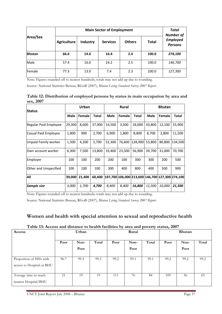| Area/Sex      |                    | <b>Main Sector of Employment</b> |                 |               |              |                                                       |  |  |  |  |
|---------------|--------------------|----------------------------------|-----------------|---------------|--------------|-------------------------------------------------------|--|--|--|--|
|               | <b>Agriculture</b> | <b>Industry</b>                  | <b>Services</b> | <b>Others</b> | <b>Total</b> | <b>Number of</b><br><b>Employed</b><br><b>Persons</b> |  |  |  |  |
| <b>Bhutan</b> | 66.6               | 14.6                             | 16.4            | 2.4           | 100.0        | 274,100                                               |  |  |  |  |
| Male          | 57.4               | 16.0                             | 24.2            | 2.5           | 100.0        | 146,700                                               |  |  |  |  |
| Female        | 77.3               | 13.0                             | 7.4             | 2.3           | 100.0        | 127,300                                               |  |  |  |  |

Note: Figures rounded off to nearest hundreds; totals may not add up due to rounding.

Source: National Statistics Bureau, RGoB (2007), *Bhutan Living Standard Survey 2007 Report*.

<span id="page-56-0"></span>**Table 12: Distribution of employed persons by status in main occupation by area and sex, 2007** 

| <b>Status</b>         | Urban  |        |              |             | <b>Rural</b>  |                                                 | <b>Bhutan</b> |               |              |
|-----------------------|--------|--------|--------------|-------------|---------------|-------------------------------------------------|---------------|---------------|--------------|
|                       | Male   | Female | <b>Total</b> | <b>Male</b> | <b>Female</b> | Total                                           | <b>Male</b>   | Female        | <b>Total</b> |
| Regular Paid Employee | 29,300 | 8,600  | 37,900       | 14,500      | 3,500         | 18,000                                          | 43,800        | 12,100        | 55,900       |
| Casual Paid Employee  | 1,800  | 900    | 2,700        | 6,900       | 1,800         | 8,800                                           | 8,700         | 2,800         | 11,500       |
| Unpaid Family worker  | 1,500  | 4,200  | 5,700        | 52,300      | 76,600        | 128,900                                         | 53,800        | 80,800        | 134,500      |
| lOwn account worker   | 6,300  | 7,500  | 13,800       | 33,400      | 23,500        | 56,900                                          | 39,700        | 31,000        | 70,700       |
| Employer              | 100    | 100    | 200          | 200         | 100           | 300                                             | 300           | 200           | 500          |
| Other and Unspecified | 100    | 100    | 100          | 300         | 400           | 800                                             | 400           | 500           | 900          |
| All                   | 39,000 | 21,400 | 60.400       |             |               | 107,700 106,000 213,600 146,700 127,300 274,100 |               |               |              |
| Sample size           | 3,000  | 1,700  | 4,700        | 8,400       | 8,400         | 16,800                                          | <i>11,500</i> | <i>10,000</i> | 21,500       |

Note: Figures rounded off to nearest hundreds; totals may not add up due to rounding.

Source: National Statistics Bureau, RGoB (2007), *Bhutan Living Standard Survey 2007 Report*.

#### **Women and health with special attention to sexual and reproductive health**

| Table 13: Access and distance to health facilities by area and poverty status, 2007 |  |  |
|-------------------------------------------------------------------------------------|--|--|
|-------------------------------------------------------------------------------------|--|--|

<span id="page-56-1"></span>

| <b>Access</b>                                       |      | Urban |       |      | Rural |       | <b>Bhutan</b> |      |       |
|-----------------------------------------------------|------|-------|-------|------|-------|-------|---------------|------|-------|
|                                                     | Poor | Non-  | Total | Poor | Non-  | Total | Poor          | Non- | Total |
|                                                     |      | Poor  |       |      | Poor  |       |               | Poor |       |
| Proportion of HHs with<br>access to Hospital or BHU | 96.7 | 99.3  | 99.3  | 99.2 | 99.1  | 99.1  | 99.2          | 99.2 | 99.2  |
| Average time to reach<br>nearest Hospital/BHU       | 21   | 19    | 19    | 111  | 76    | 84    | 109           | 56   | 65    |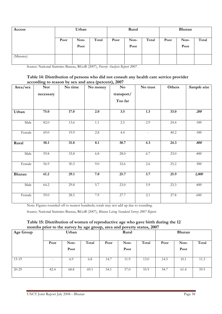| <b>Access</b> | Urban |              |       | Rural |              |       | <b>Bhutan</b> |              |       |
|---------------|-------|--------------|-------|-------|--------------|-------|---------------|--------------|-------|
|               | Poor  | Non-<br>Poor | Total | Poor  | Non-<br>Poor | Total | Poor          | Non-<br>Poor | Total |
| (Minutes)     |       |              |       |       |              |       |               |              |       |

Source: National Statistics Bureau, RGoB (2007), *Poverty Analysis Report 2007*.

| Table 14: Distribution of persons who did not consult any health care service provider |
|----------------------------------------------------------------------------------------|
| according to reason by sex and area (percent), 2007                                    |

<span id="page-57-0"></span>

| Area/sex      | o<br><b>Not</b> | No time | <b>U</b><br>No money | $\mathbf{N}\mathbf{o}$ | No trust         | Others | Sample size        |
|---------------|-----------------|---------|----------------------|------------------------|------------------|--------|--------------------|
|               | necessary       |         |                      | transport/<br>Too far  |                  |        |                    |
| Urban         | 75.0            | 17.0    | 2.0                  | 3.5                    | 1.3              | 33.0   | $\overline{200}$   |
| Male          | 82.0            | 13.6    | 1.1                  | 2.5                    | 2.9              | 24.4   | 100                |
| Female        | 69.0            | 19.9    | 2.8                  | 4.4                    | $\blacksquare$   | 40.2   | 100                |
| Rural         | 58.1            | 31.8    | 8.1                  | 30.7                   | 4.3              | 24.3   | 800                |
| Male          | 59.8            | 33.8    | 6.8                  | 28.0                   | 6.7              | 23.0   | $\overline{400}$   |
| Female        | 56.9            | 30.3    | 9.0                  | 32.6                   | 2.6              | 25.2   | 500                |
| <b>Bhutan</b> | 61.2            | 29.1    | 7.0                  | 25.7                   | $\overline{3.7}$ | 25.9   | $\overline{1,000}$ |
| Male          | 64.2            | 29.8    | 5.7                  | 23.0                   | 5.9              | 23.3   | $\overline{400}$   |
| Female        | 59.0            | 28.5    | 7.9                  | 27.7                   | 2.1              | 27.8   | 600                |

Note: Figures rounded off to nearest hundreds; totals may not add up due to rounding.

Source: National Statistics Bureau, RGoB (2007), *Bhutan Living Standard Survey 2007 Report*.

#### **Table 15: Distribution of women of reproductive age who gave birth during the 12 months prior to the survey by age group, area and poverty status, 2007**

<span id="page-57-1"></span>

| <b>Age Group</b> | $-5 - 5 - 7$<br>Urban    |              |       | Rural |              |       | <b>Bhutan</b> |              |       |
|------------------|--------------------------|--------------|-------|-------|--------------|-------|---------------|--------------|-------|
|                  | Poor                     | Non-<br>Poor | Total | Poor  | Non-<br>Poor | Total | Poor          | Non-<br>Poor | Total |
| $15-19$          | $\overline{\phantom{a}}$ | 6.9          | 6.8   | 14.7  | 11.9         | 13.0  | 14.5          | 10.1         | 11.3  |
| $20 - 29$        | 82.4                     | 68.8         | 69.1  | 54.1  | 57.0         | 55.9  | 54.7          | 61.4         | 59.5  |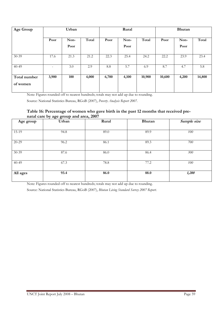| <b>Age Group</b>         | Urban |      |       | Rural |       |        | <b>Bhutan</b> |       |        |
|--------------------------|-------|------|-------|-------|-------|--------|---------------|-------|--------|
|                          | Poor  | Non- | Total | Poor  | Non-  | Total  | Poor          | Non-  | Total  |
|                          |       | Poor |       |       | Poor  |        |               | Poor  |        |
| $30 - 39$                | 17.6  | 21.3 | 21.2  | 22.3  | 25.4  | 24.2   | 22.2          | 23.9  | 23.4   |
| $40 - 49$                | ٠     | 3.0  | 2.9   | 8.8   | 5.7   | 6.9    | 8.7           | 4.7   | 5.8    |
| Total number<br>of women | 3,900 | 100  | 4,000 | 6,700 | 4,100 | 10,900 | 10,600        | 4,200 | 14,800 |

Note: Figures rounded off to nearest hundreds; totals may not add up due to rounding.

Source: National Statistics Bureau, RGoB (2007), *Poverty Analysis Report 2007*.

#### **Table 16: Percentage of women who gave birth in the past 12 months that received prenatal care by age group and area, 2007**

<span id="page-58-0"></span>

| Age group | $\circ$ $\circ$<br>Urban | Rural | <b>Bhutan</b> | Sample size |
|-----------|--------------------------|-------|---------------|-------------|
| 15-19     | 94.8                     | 89.0  | 89.9          | 100         |
|           |                          |       |               |             |
| $20 - 29$ | 96.2                     | 86.1  | 89.3          | 700         |
| $30 - 39$ | 87.6                     | 86.0  | 86.4          | 300         |
|           |                          |       |               |             |
| $40 - 49$ | 67.3                     | 78.8  | 77.2          | 100         |
| All ages  | 93.4                     | 86.0  | 88.0          | 1,200       |
|           |                          |       |               |             |

Note: Figures rounded off to nearest hundreds; totals may not add up due to rounding.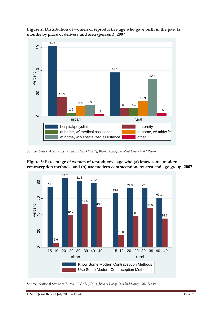<span id="page-59-0"></span>



Source: National Statistics Bureau, RGoB (2007), *Bhutan Living Standard Survey 2007 Report*.



<span id="page-59-1"></span>**Figure 3: Percentage of women of reproductive age who (a) know some modern contraception methods, and (b) use modern contraception, by area and age group, 2007**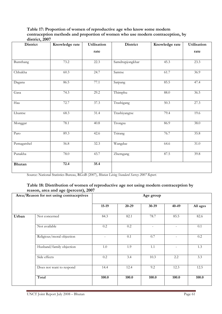**Table 17: Proportion of women of reproductive age who know some modern contraception methods and proportion of women who use modern contraception, by district, 2007** 

<span id="page-60-0"></span>

| District      | Knowledge rate | Utilisation | District        | Knowledge rate | Utilisation |
|---------------|----------------|-------------|-----------------|----------------|-------------|
|               |                | rate        |                 |                | rate        |
| Bumthang      | 73.2           | 22.3        | Samdrupjongkhar | 45.3           | 23.3        |
| Chhukha       | 60.3           | 24.7        | Samtse          | 61.7           | 36.9        |
| Dagana        | 86.5           | 77.1        | Sarpang         | 85.5           | 47.4        |
| Gasa          | 74.3           | 29.2        | Thimphu         | 88.0           | 36.5        |
| Haa           | 72.7           | 37.3        | Trashigang      | 50.3           | 27.3        |
| Lhuntse       | 68.3           | 31.4        | Trashiyangtse   | 79.4           | 19.6        |
| Monggar       | 78.1           | 40.8        | Trongsa         | 86.9           | 38.0        |
| Paro          | 89.3           | 42.6        | Tsirang         | 76.7           | 35.8        |
| Pemagatshel   | 56.8           | 32.3        | Wangdue         | 64.6           | 31.0        |
| Punakha       | 78.0           | 43.7        | Zhemgang        | 87.5           | 39.8        |
| <b>Bhutan</b> | 72.4           | 35.4        |                 |                |             |

Source: National Statistics Bureau, RGoB (2007), *Bhutan Living Standard Survey 2007 Report*.

#### **Table 18: Distribution of women of reproductive age not using modern contraception by reason, area and age (percent), 2007**

<span id="page-60-1"></span>

| $\sigma$ $\alpha$<br>$\cdot$<br>Area/Reason for not using contraceptives |                           | Age group                |         |           |       |          |  |  |  |
|--------------------------------------------------------------------------|---------------------------|--------------------------|---------|-----------|-------|----------|--|--|--|
|                                                                          |                           | $15-19$                  | 20-29   | $30 - 39$ | 40-49 | All ages |  |  |  |
| Urban                                                                    | Not concerned             | 84.3                     | 82.1    | 78.7      | 85.5  | 82.6     |  |  |  |
|                                                                          | Not available             | $0.2\,$                  | $0.2\,$ |           |       | 0.1      |  |  |  |
|                                                                          | Religious/moral objection | $\overline{\phantom{a}}$ | 0.1     | $0.7\,$   |       | 0.2      |  |  |  |
|                                                                          | Husband/family objection  | 1.0                      | 1.9     | 1.1       |       | 1.3      |  |  |  |
|                                                                          | Side effects              | 0.2                      | 3.4     | 10.3      | 2.2   | 3.3      |  |  |  |
|                                                                          | Does not want to respond  | 14.4                     | 12.4    | 9.2       | 12.3  | 12.5     |  |  |  |
|                                                                          | Total                     | 100.0                    | 100.0   | 100.0     | 100.0 | 100.0    |  |  |  |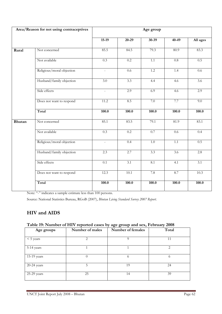|        | Area/Reason for not using contraceptives | Age group                |                  |                  |                  |                  |  |  |  |
|--------|------------------------------------------|--------------------------|------------------|------------------|------------------|------------------|--|--|--|
|        |                                          | $15-19$                  | $20 - 29$        | $30 - 39$        | 40-49            | All ages         |  |  |  |
| Rural  | Not concerned                            | 85.5                     | 84.5             | 79.3             | 80.9             | 83.3             |  |  |  |
|        | Not available                            | 0.3                      | 0.2              | 1.1              | 0.8              | 0.5              |  |  |  |
|        | Religious/moral objection                | $\overline{\phantom{a}}$ | 0.6              | 1.2              | 1.4              | 0.6              |  |  |  |
|        | Husband/family objection                 | $\overline{3.0}$         | $\overline{3.3}$ | 4.4              | 4.6              | $\overline{3.6}$ |  |  |  |
|        | Side effects                             | $\equiv$                 | 2.9              | 6.9              | $\overline{4.6}$ | 2.9              |  |  |  |
|        | Does not want to respond                 | 11.2                     | 8.5              | 7.0              | 7.7              | 9.0              |  |  |  |
|        | Total                                    | 100.0                    | 100.0            | 100.0            | 100.0            | 100.0            |  |  |  |
| Bhutan | Not concerned                            | 85.1                     | 83.5             | 79.1             | 81.9             | 83.1             |  |  |  |
|        | Not available                            | 0.3                      | 0.2              | 0.7              | 0.6              | 0.4              |  |  |  |
|        | Religious/moral objection                | $\omega$                 | 0.4              | $\overline{1.0}$ | 1.1              | 0.5              |  |  |  |
|        | Husband/family objection                 | 2.3                      | 2.7              | 3.3              | 3.6              | 2.8              |  |  |  |
|        | Side effects                             | 0.1                      | $\overline{3.1}$ | 8.1              | 4.1              | $\overline{3.1}$ |  |  |  |
|        | Does not want to respond                 | 12.3                     | 10.1             | 7.8              | 8.7              | 10.3             |  |  |  |
|        | Total                                    | 100.0                    | 100.0            | 100.0            | 100.0            | 100.0            |  |  |  |

Note: "-" indicates a sample estimate less than 100 persons.

Source: National Statistics Bureau, RGoB (2007), *Bhutan Living Standard Survey 2007 Report*.

#### **HIV and AIDS**

#### **Table 19: Number of HIV reported cases by age group and sex, February 2008**

<span id="page-61-0"></span>

| Age groups  | Number of males             | $\circ$ $\circ$<br>Number of females | Total                         |
|-------------|-----------------------------|--------------------------------------|-------------------------------|
|             |                             |                                      |                               |
| $<$ 5 years | $\mathcal{D}_{\mathcal{L}}$ | $\Omega$                             | 11                            |
| 5-14 years  |                             |                                      | $\mathfrak{D}_{\mathfrak{p}}$ |
| 15-19 years | 0                           | 6                                    | 6                             |
| 20-24 years | 5                           | 19                                   | 24                            |
| 25-29 years | 25                          | 14                                   | 39                            |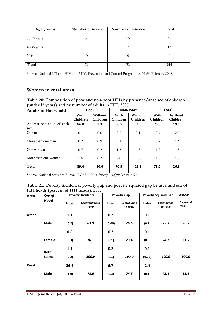| Age groups  | Number of males | Number of females | Total |  |  |
|-------------|-----------------|-------------------|-------|--|--|
|             |                 |                   |       |  |  |
| 30-39 years | 30              | 15                | 45    |  |  |
| 40-49 years | 10              | ⇁                 | 17    |  |  |
| $50+$       | $\theta$        | $\theta$          | 0     |  |  |
| Total       | 73              | 71                | 144   |  |  |

Source: National STI and HIV and AIDS Prevention and Control Programme, MoH, February 2008.

#### **Women in rural areas**

<span id="page-62-0"></span>**Table 20: Composition of poor and non-poor HHs by presence/absence of children (under 15 years) and by number of adults in HH, 2007** 

| <b>Adults in Household</b>        | Poor                    |                            | <b>Non-Poor</b>         |                            | <b>Total</b>            |                            |  |
|-----------------------------------|-------------------------|----------------------------|-------------------------|----------------------------|-------------------------|----------------------------|--|
|                                   | With<br><b>Children</b> | Without<br><b>Children</b> | With<br><b>Children</b> | Without<br><b>Children</b> | With<br><b>Children</b> | Without<br><b>Children</b> |  |
| At least one adult of each<br>sex | 86.8                    | 9.3                        | 66.5                    | 21.5                       | 70.0                    | 19.4                       |  |
| One man                           | 0.1                     | 0.0                        | 0.5                     | 3.1                        | 0.4                     | 2.6                        |  |
| More than one man                 | 0.2                     | 0.9                        | 0.2                     | 1.5                        | 0.2                     | 1.4                        |  |
| One woman                         | 0.7                     | 0.2                        | 1.3                     | 1.8                        | 1.2                     | 1.5                        |  |
| More than one woman               | 1.6                     | 0.2                        | 2.0                     | 1.6                        | 1.9                     | 1.3                        |  |
| <b>Total</b>                      | 89.4                    | 10.6                       | 70.5                    | 29.5                       | 73.7                    | 26.3                       |  |

Source: National Statistics Bureau, RGoB (2007), *Poverty Analysis Report 2007*.

#### <span id="page-62-1"></span>**Table 21: Poverty incidence, poverty gap and poverty squared gap by area and sex of HH heads (percent of HH heads), 2007**

| Area         | Sex of       | <b>Poverty Incidence</b> |                                 |        | Poverty Gap                     | <b>Poverty Squared Gap</b> | Share of                        |                    |
|--------------|--------------|--------------------------|---------------------------------|--------|---------------------------------|----------------------------|---------------------------------|--------------------|
|              | <b>Head</b>  | Index                    | <b>Contribution to</b><br>Total | Index  | <b>Contribution</b><br>to Total | Index                      | <b>Contribution</b><br>to Total | Household<br>Heads |
| Urban        |              | 1.1                      |                                 | 0.2    |                                 | 0.1                        |                                 |                    |
|              | <b>Male</b>  | (0.2)                    | 83.9                            | (0.06) | 76.6                            | (0.2)                      | 75.3                            | 78.5               |
|              |              | 0.8                      |                                 | 0.2    |                                 | 0.1                        |                                 |                    |
|              | Female       | (0.3)                    | 16.1                            | (0.1)  | 23.4                            | (0.3)                      | 24.7                            | 21.5               |
|              | <b>Both</b>  | 1.1                      |                                 | 0.2    |                                 | 0.1                        |                                 |                    |
|              | <b>Sexes</b> | (0.2)                    | 100.0                           | (0.1)  | 100.0                           | (0.02)                     | 100.0                           | 100.0              |
| <b>Rural</b> |              | 26.6                     |                                 | 6.7    |                                 | 2.4                        |                                 |                    |
|              | <b>Male</b>  | (1.0)                    | 73.0                            | (0.3)  | 74.5                            | (0.1)                      | 75.4                            | 65.4               |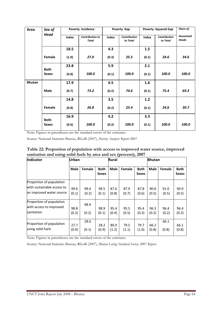| Area          | Sex of       | <b>Poverty Incidence</b> |                                        |       | Poverty Gap                     | <b>Poverty Squared Gap</b> | Share of                        |                           |
|---------------|--------------|--------------------------|----------------------------------------|-------|---------------------------------|----------------------------|---------------------------------|---------------------------|
|               | <b>Head</b>  | Index                    | <b>Contribution to</b><br><b>Total</b> | Index | <b>Contribution</b><br>to Total | Index                      | <b>Contribution</b><br>to Total | Household<br><b>Heads</b> |
|               |              | 18.5                     |                                        | 4.3   |                                 | 1.5                        |                                 |                           |
|               | Female       | (1.0)                    | 27.0                                   | (0.3) | 25.5                            | (0.1)                      | 24.6                            | 34.6                      |
|               | <b>Both</b>  | 23.8                     |                                        | 5.9   |                                 | 2.1                        |                                 |                           |
|               | <b>Sexes</b> | (0.8)                    | 100.0                                  | (0.1) | 100.0                           | (0.1)                      | 100.0                           | 100.0                     |
| <b>Bhutan</b> |              | 17.9                     |                                        | 4.5   |                                 | 1.6                        |                                 |                           |
|               | <b>Male</b>  | (0.7)                    | 73.2                                   | (0.2) | 74.6                            | (0.1)                      | 75.4                            | 69.3                      |
|               |              | 14.8                     |                                        | 3.5   |                                 | $1.2$                      |                                 |                           |
|               | Female       | (0.8)                    | 26.8                                   | (0.2) | 25.4                            | (0.1)                      | 24.6                            | 30.7                      |
|               | <b>Both</b>  | 16.9                     |                                        | 4.2   |                                 | 3.3                        |                                 |                           |
|               | <b>Sexes</b> | (0.6)                    | 100.0                                  | (0.2) | 100.0                           | (0.1)                      | 100.0                           | 100.0                     |

Note: Figures in parentheses are the standard errors of the estimates.

Source: National Statistics Bureau, RGoB (2007), *Poverty Analysis Report 2007*.

<span id="page-63-0"></span>

| Table 22: Proportion of population with access to improved water source, improved |
|-----------------------------------------------------------------------------------|
| sanitation and using solid fuels by area and sex (percent), 2007                  |

| Indicator                                                                          | <b>Urban</b>  |               |                             | Rural         |               |                             | <b>Bhutan</b> |               |                             |
|------------------------------------------------------------------------------------|---------------|---------------|-----------------------------|---------------|---------------|-----------------------------|---------------|---------------|-----------------------------|
|                                                                                    | <b>Male</b>   | <b>Female</b> | <b>Both</b><br><b>Sexes</b> | <b>Male</b>   | Female        | <b>Both</b><br><b>Sexes</b> | <b>Male</b>   | Female        | <b>Both</b><br><b>Sexes</b> |
| Proportion of population<br>with sustainable access to<br>an improved water source | 99.6<br>(0.1) | 99.4<br>(0.2) | 99.5<br>(0.1)               | 87.6<br>(0.8) | 87.9<br>(0.7) | 87.8<br>(0.6)               | 90.8<br>(0.5) | 91.0<br>(0.5) | 90.9<br>(0.5)               |
| Proportion of population<br>with access to improved<br>sanitation                  | 98.8<br>(0.2) | 98.9<br>(0.2) | 98.9<br>(0.1)               | 95.4<br>(0.4) | 95.5<br>(0.5) | 95.4<br>(0.3)               | 96.3<br>(0.2) | 96.4<br>(0.2) | 96.4<br>(0.2)               |
| Proportion of population<br>using solid fuels                                      | 27.7<br>(0.9) | 28.6<br>(0.1) | 28.2<br>(0.9)               | 80.0<br>(1.2) | 79.5<br>(1.1) | 79.7<br>(1.0)               | 66.2<br>(0.8) | 66.1<br>(0.8) | 66.1<br>(0.8)               |

Note: Figures in parentheses are the standard errors of the estimates.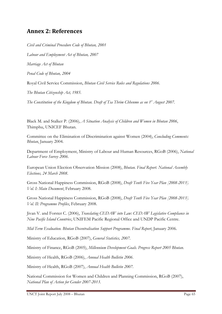## **Annex 2: References**

*Civil and Criminal Procedure Code of Bhutan, 2001 Labour and Employment Act of Bhutan, 2007 Marriage Act of Bhutan Penal Code of Bhutan, 2004*  Royal Civil Service Commission, *Bhutan Civil Service Rules and Regulations 2006*. *The Bhutan Citizenship Act, 1985. The Constitution of the Kingdom of Bhutan. Draft of Tsa Thrim Chhenmo as on 1<sup>st</sup> August 2007.* 

Black M. and Stalker P. (2006), *A Situation Analysis of Children and Women in Bhutan 2006*, Thimphu, UNICEF Bhutan.

Committee on the Elimination of Discrimination against Women (2004), *Concluding Comments: Bhutan*, January 2004.

Department of Employment, Ministry of Labour and Human Resources, RGoB (2006), *National Labour Force Survey 2006*.

European Union Election Observation Mission (2008), *Bhutan. Final Report. National Assembly Elections, 24 March 2008*.

Gross National Happiness Commission, RGoB (2008), *Draft Tenth Five Year Plan [2008-2013]. Vol. I: Main Document*, February 2008.

Gross National Happiness Commission, RGoB (2008), *Draft Tenth Five Year Plan [2008-2013]. Vol. II: Programme Profiles*, February 2008.

Jivan V. and Forster C. (2006), *Translating CEDAW into Law: CEDAW Legislative Compliance in Nine Pacific Island Countries*, UNIFEM Pacific Regional Office and UNDP Pacific Centre.

*Mid-Term Evaluation. Bhutan Decentralisation Support Programme. Final Report*, January 2006.

Ministry of Education, RGoB (2007), *General Statistics, 2007*.

Ministry of Finance, RGoB (2005), *Millennium Development Goals. Progress Report 2005 Bhutan*.

Ministry of Health, RGoB (2006), *Annual Health Bulletin 2006*.

Ministry of Health, RGoB (2007), *Annual Health Bulletin 2007*.

National Commission for Women and Children and Planning Commission, RGoB (2007), *National Plan of Action for Gender 2007-2013*.